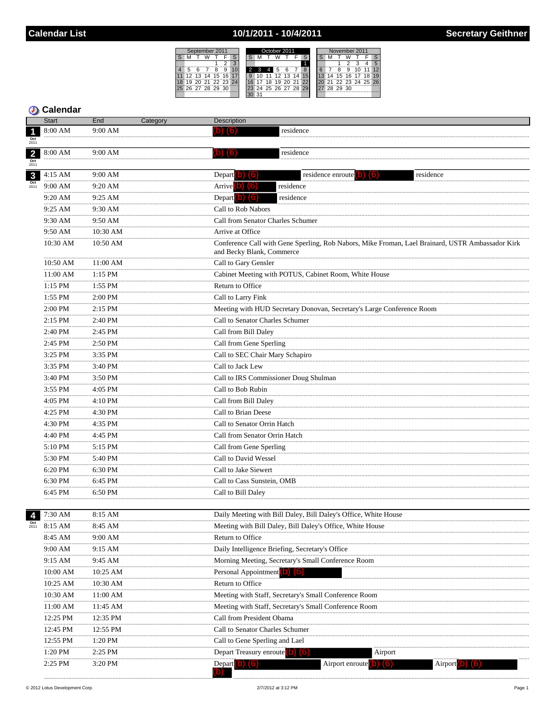## 10/1/2011 - 10/4/2011

| September 2011 |                |    |    |                |  | October 2011 |     |    |    |        |                   | November 2011 |  |    |          |                   |  |    |    |
|----------------|----------------|----|----|----------------|--|--------------|-----|----|----|--------|-------------------|---------------|--|----|----------|-------------------|--|----|----|
|                |                |    |    |                |  |              |     |    |    |        |                   |               |  |    |          |                   |  |    |    |
|                |                |    |    |                |  |              |     |    |    |        |                   |               |  |    |          |                   |  |    |    |
|                |                |    |    | g              |  |              |     | 4  |    |        |                   |               |  |    |          |                   |  |    | 12 |
| 12             | 13             | 14 | 15 | $16^{\degree}$ |  |              |     | 11 | 12 | 13     |                   |               |  | 14 |          | 15 16 17          |  | 18 | 19 |
| 19             |                |    |    | 20 21 22 23 24 |  |              |     | ïä | ä  | $20 -$ |                   | ່າາ           |  |    |          | 21 22 23 24 25 26 |  |    |    |
|                | 26 27 28 29 30 |    |    |                |  |              |     |    |    |        | 24 25 26 27 28 29 |               |  |    | 28 29 30 |                   |  |    |    |
|                |                |    |    |                |  |              | -31 |    |    |        |                   |               |  |    |          |                   |  |    |    |
|                |                |    |    |                |  |              |     |    |    |        |                   |               |  |    |          |                   |  |    |    |

|                         | <b>Start</b>   | End          | Category | Description                                                                                                                   |
|-------------------------|----------------|--------------|----------|-------------------------------------------------------------------------------------------------------------------------------|
| $\overline{\mathbf{1}}$ | 8:00 AM        | 9:00 AM      |          | residence                                                                                                                     |
| $\frac{Oct}{2011}$      |                |              |          |                                                                                                                               |
| $\overline{\mathbf{2}}$ | 8:00 AM        | 9:00 AM      |          | residence<br>$\left( 0\right) \left( 6\right)$                                                                                |
| $\frac{Oct}{2011}$      |                |              |          |                                                                                                                               |
| $\mathbf{3}$            | 4:15 AM        | 9:00 AM<br>. |          | Depart $\left( 0 \right)$ $\left( 6 \right)$<br>residence enroute (0) (6)<br>residence                                        |
| $\frac{Oct}{2011}$      | 9:00 AM        | 9:20 AM      |          | Arrive $(b)$ $(6)$<br>residence                                                                                               |
|                         | 9:20 AM<br>.   | 9:25 AM<br>. |          | Depart $\left( 0 \right)$ $\left( 6 \right)$<br>residence                                                                     |
|                         | 9:25 AM        | 9:30 AM      |          | Call to Rob Nabors                                                                                                            |
|                         | 9:30 AM        | 9:50 AM      |          | Call from Senator Charles Schumer                                                                                             |
|                         | 9:50 AM        | 10:30 AM     |          | Arrive at Office                                                                                                              |
|                         | 10:30 AM       | 10:50 AM     |          | Conference Call with Gene Sperling, Rob Nabors, Mike Froman, Lael Brainard, USTR Ambassador Kirk<br>and Becky Blank, Commerce |
|                         | 10:50 AM       | 11:00 AM     |          | Call to Gary Gensler                                                                                                          |
|                         | 11:00 AM<br>.  | 1:15 PM      |          | Cabinet Meeting with POTUS, Cabinet Room, White House                                                                         |
|                         | 1:15 PM<br>.   | 1:55 PM      |          | Return to Office<br>                                                                                                          |
|                         | 1:55 PM<br>.   | 2:00 PM      |          | Call to Larry Fink                                                                                                            |
|                         | $2:00$ PM<br>. | 2:15 PM      |          | Meeting with HUD Secretary Donovan, Secretary's Large Conference Room                                                         |
|                         | 2:15 PM        | <br>2:40 PM  |          | Call to Senator Charles Schumer                                                                                               |
|                         | .<br>2:40 PM   | 2:45 PM      |          | Call from Bill Daley                                                                                                          |
|                         | .<br>2:45 PM   | 2:50 PM      |          | Call from Gene Sperling                                                                                                       |
|                         | .<br>3:25 PM   | .<br>3:35 PM |          | Call to SEC Chair Mary Schapiro                                                                                               |
|                         | 3:35 PM        | 3:40 PM      |          | Call to Jack Lew                                                                                                              |
|                         | .<br>3:40 PM   | 3:50 PM      |          | Call to IRS Commissioner Doug Shulman                                                                                         |
|                         | .<br>3:55 PM   | 4:05 PM      |          | Call to Bob Rubin                                                                                                             |
|                         | .<br>4:05 PM   | 4:10 PM      |          | Call from Bill Daley                                                                                                          |
|                         | .<br>4:25 PM   | 4:30 PM      |          | Call to Brian Deese                                                                                                           |
|                         | .<br>4:30 PM   | 4:35 PM      |          | Call to Senator Orrin Hatch                                                                                                   |
|                         | .<br>4:40 PM   | 4:45 PM      |          | Call from Senator Orrin Hatch                                                                                                 |
|                         | .<br>5:10 PM   | .<br>5:15 PM |          | Call from Gene Sperling                                                                                                       |
|                         | .<br>5:30 PM   | <br>5:40 PM  |          | Call to David Wessel                                                                                                          |
|                         | .<br>6:20 PM   | 6:30 PM      |          | Call to Jake Siewert                                                                                                          |
|                         | 6:30 PM        | 6:45 PM      |          | Call to Cass Sunstein, OMB                                                                                                    |
|                         | 6:45 PM        | 6:50 PM      |          | Call to Bill Daley                                                                                                            |
|                         |                |              |          |                                                                                                                               |
| $\overline{4}$          | 7:30 AM        | 8:15 AM      |          | Daily Meeting with Bill Daley, Bill Daley's Office, White House                                                               |
| 2011                    | 8:15 AM        | 8:45 AM      |          | Meeting with Bill Daley, Bill Daley's Office, White House                                                                     |
|                         | 8:45 AM        | 9:00 AM      |          | Return to Office                                                                                                              |
|                         | 9:00 AM        | 9:15 AM      |          | Daily Intelligence Briefing, Secretary's Office                                                                               |
|                         | 9:15 AM        | 9:45 AM      |          | Morning Meeting, Secretary's Small Conference Room                                                                            |
|                         | 10:00 AM       | 10:25 AM     |          | Personal Appointment <sup>1</sup>                                                                                             |
|                         | 10:25 AM       | 10:30 AM     |          | Return to Office                                                                                                              |
|                         | 10:30 AM       | 11:00 AM     |          | Meeting with Staff, Secretary's Small Conference Room                                                                         |
|                         | 11:00 AM       | 11:45 AM     |          | Meeting with Staff, Secretary's Small Conference Room                                                                         |
|                         | 12:25 PM       | 12:35 PM     |          | Call from President Obama                                                                                                     |
|                         | 12:45 PM       | 12:55 PM     |          | Call to Senator Charles Schumer                                                                                               |
|                         | 12:55 PM       | 1:20 PM      |          | Call to Gene Sperling and Lael                                                                                                |
|                         | 1:20 PM        | 2:25 PM      |          | Depart Treasury enroute (b) (6)<br>Airport                                                                                    |
|                         | $2:25$ PM      | 3:20 PM      |          | Airport enroute <b>O</b><br>Depart b) (6)<br>Airport                                                                          |
|                         |                |              |          |                                                                                                                               |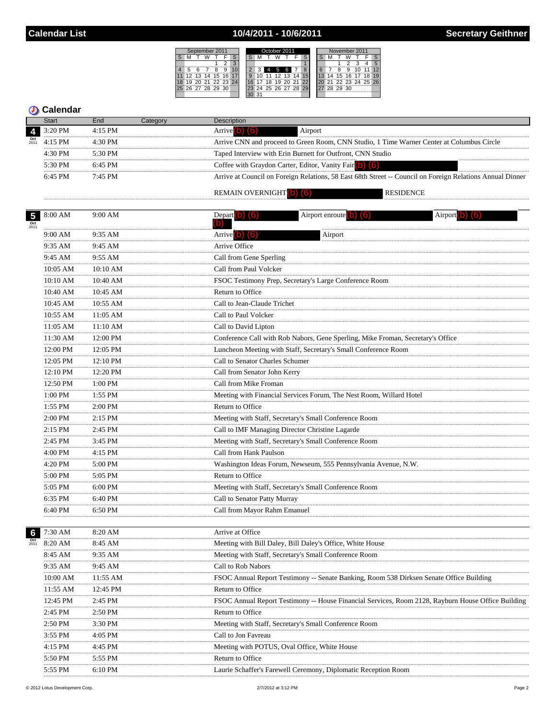# 10/4/2011 - 10/6/2011

|       | September 2011    |  |                   |  |   | October 2011      |  |  |    |    |           | November 2011        |    |  |  |                      |  |  |  |    |
|-------|-------------------|--|-------------------|--|---|-------------------|--|--|----|----|-----------|----------------------|----|--|--|----------------------|--|--|--|----|
|       |                   |  |                   |  |   |                   |  |  |    |    |           |                      |    |  |  |                      |  |  |  |    |
|       |                   |  |                   |  |   |                   |  |  |    |    |           |                      |    |  |  |                      |  |  |  | 5  |
|       |                   |  |                   |  | g |                   |  |  | 4  | 5  | 6         |                      |    |  |  |                      |  |  |  | 12 |
| 11    |                   |  | 12 13 14 15 16 17 |  |   |                   |  |  |    |    |           | 11 12 13 14          | 15 |  |  | 14 15 16 17 18 19    |  |  |  |    |
| i 18' |                   |  |                   |  |   | 19 20 21 22 23 24 |  |  | 18 | 19 | - 20 - 21 |                      | 22 |  |  | 20 21 22 23 24 25 26 |  |  |  |    |
|       | 25 26 27 28 29 30 |  |                   |  |   |                   |  |  |    |    |           | 23 24 25 26 27 28 29 |    |  |  | 27 28 29 30          |  |  |  |    |
|       |                   |  |                   |  |   |                   |  |  |    |    |           |                      |    |  |  |                      |  |  |  |    |

## **D** Calendar

|                       | Start             | End       | Categorv | <b>Description</b>                                                                                        |  |
|-----------------------|-------------------|-----------|----------|-----------------------------------------------------------------------------------------------------------|--|
|                       | 3:20 PM           | $4:15$ PM |          | Airport                                                                                                   |  |
| $Oct$ <sub>2011</sub> | $4.15$ PM         | $4.30$ PM |          | Arrive CNN and proceed to Green Room, CNN Studio, 1 Time Warner Center at Columbus Circle                 |  |
|                       | $4.30$ PM         | 5:30 PM   |          | Taped Interview with Erin Burnett for Outfront, CNN Studio                                                |  |
|                       | $5.30 \text{ PM}$ | $6.45$ PM |          | Coffee with Graydon Carter, Editor, Vanity Fair                                                           |  |
|                       | $6.45$ PM         | $7.45$ PM |          | Arrive at Council on Foreign Relations, 58 East 68th Street -- Council on Foreign Relations Annual Dinner |  |
|                       |                   |           |          | <b>REMAIN OVERNIGHT</b> (b)<br><b>RESIDENCE</b>                                                           |  |

#### REMAIN OVERNIGHT (b) (6)

|                 | $5^{\circ}$ 8:00 AM | 9:00 AM       | Depart (b) $(6)$<br>(b)                         | Airport enroute $(b)$ $(6)$                                                             | Airport $(b)$ $(6)$                                                                                |
|-----------------|---------------------|---------------|-------------------------------------------------|-----------------------------------------------------------------------------------------|----------------------------------------------------------------------------------------------------|
|                 | 9:00 AM             | 9:35 AM       | Arrive <sup>(b)</sup> (6)                       | Airport                                                                                 |                                                                                                    |
|                 | 9:35 AM             | 9:45 AM       | Arrive Office                                   |                                                                                         |                                                                                                    |
|                 | 9:45 AM             | 9:55 AM       | Call from Gene Sperling                         |                                                                                         |                                                                                                    |
|                 | 10:05 AM            | 10:10 AM      | Call from Paul Volcker                          |                                                                                         |                                                                                                    |
|                 | $10:10~\mathrm{AM}$ | 10:40 AM      |                                                 | FSOC Testimony Prep, Secretary's Large Conference Room                                  |                                                                                                    |
|                 | 10:40 AM            | 10:45 AM      | Return to Office                                |                                                                                         |                                                                                                    |
|                 | 10:45 AM            | 10:55 AM      | Call to Jean-Claude Trichet                     |                                                                                         |                                                                                                    |
|                 | 10:55 AM            | 11:05 AM      | Call to Paul Volcker                            |                                                                                         |                                                                                                    |
|                 | 11:05 AM            | 11:10 AM      | Call to David Lipton                            |                                                                                         |                                                                                                    |
|                 | 11:30 AM            | .<br>12:00 PM |                                                 | Conference Call with Rob Nabors, Gene Sperling, Mike Froman, Secretary's Office         |                                                                                                    |
|                 | 12:00 PM            | 12:05 PM      |                                                 | Luncheon Meeting with Staff, Secretary's Small Conference Room                          |                                                                                                    |
|                 | 12:05 PM            | 12:10 PM      | Call to Senator Charles Schumer                 |                                                                                         |                                                                                                    |
|                 | 12:10 PM            | 12:20 PM      | Call from Senator John Kerry                    |                                                                                         |                                                                                                    |
|                 | 12:50 PM            | 1:00 PM       | Call from Mike Froman                           |                                                                                         |                                                                                                    |
|                 | 1:00 PM             | 1:55 PM       |                                                 | Meeting with Financial Services Forum, The Nest Room, Willard Hotel                     |                                                                                                    |
|                 | 1:55 PM             | 2:00 PM       | Return to Office                                |                                                                                         |                                                                                                    |
|                 | 2:00 PM             | 2:15 PM       |                                                 | Meeting with Staff, Secretary's Small Conference Room                                   |                                                                                                    |
|                 | 2:15 PM             | 2:45 PM       | Call to IMF Managing Director Christine Lagarde |                                                                                         |                                                                                                    |
|                 | 2:45 PM             | 3:45 PM       |                                                 | Meeting with Staff, Secretary's Small Conference Room                                   |                                                                                                    |
|                 | 4:00 PM             | 4:15 PM       | Call from Hank Paulson                          |                                                                                         |                                                                                                    |
|                 | 4:20 PM             | 5:00 PM       |                                                 | Washington Ideas Forum, Newseum, 555 Pennsylvania Avenue, N.W.                          |                                                                                                    |
|                 | 5:00 PM             | 5:05 PM       | Return to Office                                |                                                                                         |                                                                                                    |
|                 | 5:05 PM             | 6:00 PM       |                                                 | Meeting with Staff, Secretary's Small Conference Room                                   |                                                                                                    |
|                 | 6:35 PM             | 6:40 PM       | Call to Senator Patty Murray                    |                                                                                         |                                                                                                    |
|                 | 6:40 PM             | 6:50 PM       | Call from Mayor Rahm Emanuel                    |                                                                                         |                                                                                                    |
|                 |                     |               |                                                 |                                                                                         |                                                                                                    |
| $6\phantom{a}6$ | 7:30 AM             | 8:20 AM       | Arrive at Office                                |                                                                                         |                                                                                                    |
|                 | 8:20 AM             | 8:45 AM       |                                                 | Meeting with Bill Daley, Bill Daley's Office, White House                               |                                                                                                    |
|                 | 8:45 AM             | 9:35 AM       |                                                 | Meeting with Staff, Secretary's Small Conference Room                                   |                                                                                                    |
|                 | 9:35 AM             | 9:45 AM       | Call to Rob Nabors                              |                                                                                         |                                                                                                    |
|                 | 10:00 AM            | 11:55 AM      |                                                 | FSOC Annual Report Testimony -- Senate Banking, Room 538 Dirksen Senate Office Building |                                                                                                    |
|                 | 11:55 AM            | 12:45 PM      | Return to Office                                |                                                                                         |                                                                                                    |
|                 | 12:45 PM            | 2:45 PM       |                                                 |                                                                                         | FSOC Annual Report Testimony -- House Financial Services, Room 2128, Rayburn House Office Building |
|                 | 2:45 PM             | 2:50 PM       | Return to Office                                |                                                                                         |                                                                                                    |
|                 | 2:50 PM             | 3:30 PM       |                                                 | Meeting with Staff, Secretary's Small Conference Room                                   |                                                                                                    |
|                 | 3:55 PM             | 4:05 PM       | Call to Jon Favreau                             |                                                                                         |                                                                                                    |
|                 | 4:15 PM             | 4:45 PM       | Meeting with POTUS, Oval Office, White House    |                                                                                         |                                                                                                    |
|                 | 5:50 PM             | 5:55 PM       | Return to Office                                |                                                                                         |                                                                                                    |
|                 | 5:55 PM             | 6:10 PM       |                                                 | Laurie Schaffer's Farewell Ceremony, Diplomatic Reception Room                          |                                                                                                    |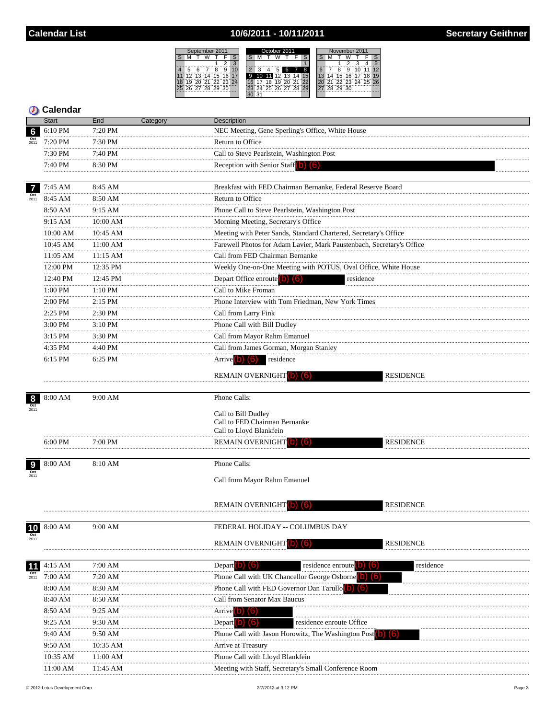## 10/6/2011 - 10/11/2011

|            | September 2011 |    |     |                   |    |  | October 2011 |   |    |    |          |  | November 2011 |                         |  |    |          |       |                |    |    |
|------------|----------------|----|-----|-------------------|----|--|--------------|---|----|----|----------|--|---------------|-------------------------|--|----|----------|-------|----------------|----|----|
|            |                |    |     |                   |    |  |              |   |    |    |          |  |               |                         |  |    |          |       |                |    |    |
|            |                |    |     |                   |    |  |              |   |    |    |          |  |               |                         |  |    |          |       |                |    |    |
|            | 5              |    |     |                   | g  |  |              |   |    |    |          |  |               | $\overline{\mathbf{a}}$ |  |    |          | a     |                |    | 12 |
| 11         | 12             | 13 | 14  | 15                | 16 |  |              | 9 | 10 |    | l 12     |  |               |                         |  |    | 15       | 16 17 |                | 18 | 19 |
| $18^\circ$ | 19             | 20 | -91 | $22\,23\,24$      |    |  |              |   |    | 18 | ïä       |  |               | - 22                    |  | 57 |          |       | 22 23 24 25 26 |    |    |
|            |                |    |     | 25 26 27 28 29 30 |    |  |              |   | 24 |    | 25 26 27 |  | 28 29         |                         |  |    | 28 29 30 |       |                |    |    |
|            |                |    |     |                   |    |  |              |   | 21 |    |          |  |               |                         |  |    |          |       |                |    |    |
|            |                |    |     |                   |    |  |              |   |    |    |          |  |               |                         |  |    |          |       |                |    |    |

|                    | <b>Start</b>  | End           | Category | Description                                                                                               |
|--------------------|---------------|---------------|----------|-----------------------------------------------------------------------------------------------------------|
| $6\phantom{a}$     | 6:10 PM       | 7:20 PM       |          | NEC Meeting, Gene Sperling's Office, White House                                                          |
|                    | 7:20 PM       | 7:30 PM       |          | Return to Office                                                                                          |
|                    | 7:30 PM       | 7:40 PM       |          | Call to Steve Pearlstein, Washington Post                                                                 |
|                    | <br>7:40 PM   | 8:30 PM       |          | Reception with Senior Staff $\begin{pmatrix} 0 \\ 0 \end{pmatrix}$ $\begin{pmatrix} 6 \\ 0 \end{pmatrix}$ |
|                    |               |               |          |                                                                                                           |
| $\overline{7}$     | 7:45 AM       | 8:45 AM       |          | Breakfast with FED Chairman Bernanke, Federal Reserve Board                                               |
| $\frac{Oct}{2011}$ | 8:45 AM       | 8:50 AM       |          | Return to Office                                                                                          |
|                    | 8:50 AM       | 9:15 AM       |          | Phone Call to Steve Pearlstein, Washington Post                                                           |
|                    | 9:15 AM<br>.  | 10:00 AM      |          | Morning Meeting, Secretary's Office                                                                       |
|                    | 10:00 AM<br>  | 10:45 AM      |          | Meeting with Peter Sands, Standard Chartered, Secretary's Office                                          |
|                    | 10:45 AM<br>  | $11:00$ AM    |          | Farewell Photos for Adam Lavier, Mark Paustenbach, Secretary's Office                                     |
|                    | 11:05 AM      | 11:15 AM<br>  |          | Call from FED Chairman Bernanke                                                                           |
|                    | <br>12:00 PM  | 12:35 PM<br>. |          | Weekly One-on-One Meeting with POTUS, Oval Office, White House                                            |
|                    | 12:40 PM      | 12:45 PM      |          | Depart Office enroute $(b)$ $(6)$<br>residence                                                            |
|                    | <br>1:00 PM   | 1:10 PM       |          | Call to Mike Froman                                                                                       |
|                    | .<br>2:00 PM  | $2:15$ PM     |          | Phone Interview with Tom Friedman, New York Times                                                         |
|                    | <br>2:25 PM   | 2:30 PM       |          | Call from Larry Fink                                                                                      |
|                    | 3:00 PM       | 3:10 PM       |          | Phone Call with Bill Dudley                                                                               |
|                    | <br>$3:15$ PM | .<br>3:30 PM  |          | Call from Mayor Rahm Emanuel                                                                              |
|                    | .<br>4:35 PM  | 4:40 PM       |          | Call from James Gorman, Morgan Stanley                                                                    |
|                    | 6:15 PM       | 6:25 PM       |          | residence<br>Arrive (b) (6)                                                                               |
|                    |               |               |          |                                                                                                           |
|                    |               |               |          | <b>REMAIN OVERNIGHT</b> O<br><b>RESIDENCE</b>                                                             |
| 8                  | 8:00 AM       | 9:00 AM       |          | Phone Calls:                                                                                              |
|                    |               |               |          |                                                                                                           |
|                    |               |               |          | Call to Bill Dudley<br>Call to FED Chairman Bernanke                                                      |
|                    |               |               |          | Call to Lloyd Blankfein                                                                                   |
|                    | $6:00$ PM     | 7:00 PM       |          | REMAIN OVERNIGHT<br>RESIDENCE                                                                             |
|                    |               |               |          |                                                                                                           |
| 9                  | 8:00 AM       | 8:10 AM       |          | Phone Calls:                                                                                              |
| Oct                |               |               |          | Call from Mayor Rahm Emanuel                                                                              |
|                    |               |               |          |                                                                                                           |
|                    |               |               |          |                                                                                                           |
|                    |               |               |          | REMAIN OVERNIGHT<br><b>RESIDENCE</b>                                                                      |
|                    | 8:00 AM       | 9:00 AM       |          | FEDERAL HOLIDAY -- COLUMBUS DAY                                                                           |
| 10<br>Oct          |               |               |          |                                                                                                           |
|                    |               |               |          | <b>REMAIN OVERNIGHT</b><br><b>RESIDENCE</b>                                                               |
|                    |               |               |          |                                                                                                           |
| 11                 | 4:15 AM       | 7:00 AM       |          | residence enroute<br>Depart <b>D</b><br>residence                                                         |
| $\frac{Oct}{2011}$ | 7:00 AM       | 7:20 AM       |          | Phone Call with UK Chancellor George Osborne <sup>[0]</sup><br>$\blacksquare$                             |
|                    | 8:00 AM       | 8:30 AM       |          | Phone Call with FED Governor Dan Tarullo                                                                  |
|                    | 8:40 AM       | 8:50 AM       |          | Call from Senator Max Baucus                                                                              |
|                    | 8:50 AM<br>.  | 9:25 AM       |          | <b>Arrive</b> 0                                                                                           |
|                    | 9:25 AM       | 9:30 AM       |          | <b>Depart</b><br>residence enroute Office                                                                 |
|                    | 9:40 AM       | 9:50 AM       |          | Phone Call with Jason Horowitz, The Washington Post                                                       |
|                    | 9:50 AM       | 10:35 AM      |          | Arrive at Treasury                                                                                        |
|                    | 10:35 AM      | 11:00 AM      |          | Phone Call with Lloyd Blankfein                                                                           |
|                    | 11:00 AM      | 11:45 AM      |          | Meeting with Staff, Secretary's Small Conference Room                                                     |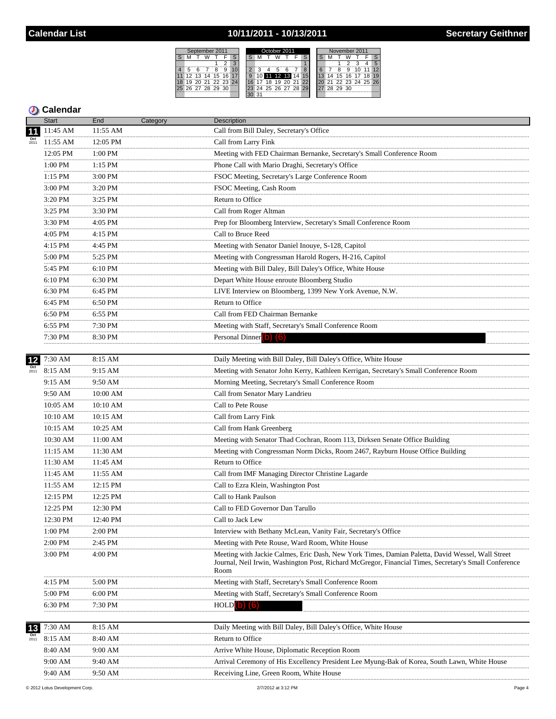### 10/11/2011 - 10/13/2011



|                 | <b>Start</b>                         | End           | Category | Description                                                                                                                                                                                                       |
|-----------------|--------------------------------------|---------------|----------|-------------------------------------------------------------------------------------------------------------------------------------------------------------------------------------------------------------------|
| $\overline{11}$ | 11:45 AM                             | 11:55 AM      |          | Call from Bill Daley, Secretary's Office                                                                                                                                                                          |
|                 | 11:55 AM                             | 12:05 PM      |          | Call from Larry Fink                                                                                                                                                                                              |
|                 | 12:05 PM                             | 1:00 PM       |          | Meeting with FED Chairman Bernanke, Secretary's Small Conference Room                                                                                                                                             |
|                 | 1:00 PM                              | 1:15 PM       |          | Phone Call with Mario Draghi, Secretary's Office                                                                                                                                                                  |
|                 | .<br>1:15 PM                         | 3:00 PM       |          | FSOC Meeting, Secretary's Large Conference Room                                                                                                                                                                   |
|                 | .<br>$3:00$ $\overline{\mathrm{PM}}$ | 3:20 PM       |          | FSOC Meeting, Cash Room                                                                                                                                                                                           |
|                 | .<br>3:20 PM                         | 3:25 PM       |          | Return to Office                                                                                                                                                                                                  |
|                 | .<br>3:25 PM                         | 3:30 PM       |          | Call from Roger Altman                                                                                                                                                                                            |
|                 | .<br>3:30 PM                         | .<br>4:05 PM  |          | Prep for Bloomberg Interview, Secretary's Small Conference Room                                                                                                                                                   |
|                 | .<br>4:05 PM                         | 4:15 PM       |          | Call to Bruce Reed                                                                                                                                                                                                |
|                 | .<br>4:15 PM                         | 4:45 PM       |          | Meeting with Senator Daniel Inouye, S-128, Capitol                                                                                                                                                                |
|                 | .<br>$5:00~\mathrm{PM}$              | 5:25 PM       |          | Meeting with Congressman Harold Rogers, H-216, Capitol                                                                                                                                                            |
|                 | .<br>5:45 PM                         | 6:10 PM       |          | Meeting with Bill Daley, Bill Daley's Office, White House                                                                                                                                                         |
|                 | 6:10 PM                              | 6:30 PM       |          | Depart White House enroute Bloomberg Studio                                                                                                                                                                       |
|                 | 6:30 PM                              | 6:45 PM       |          | LIVE Interview on Bloomberg, 1399 New York Avenue, N.W.                                                                                                                                                           |
|                 | .<br>6:45 PM                         | 6:50 PM       |          | Return to Office                                                                                                                                                                                                  |
|                 | .<br>6:50 PM                         | 6:55 PM       |          | Call from FED Chairman Bernanke                                                                                                                                                                                   |
|                 | .<br>$6:55$ PM                       | 7:30 PM       |          | Meeting with Staff, Secretary's Small Conference Room                                                                                                                                                             |
|                 | 7:30 PM                              | 8:30 PM       |          | Personal Dinner (b) (6)                                                                                                                                                                                           |
|                 | .                                    | .             |          |                                                                                                                                                                                                                   |
| 12              | 7:30 AM                              | 8:15 AM       |          | Daily Meeting with Bill Daley, Bill Daley's Office, White House                                                                                                                                                   |
| Oct<br>$2011$   | 8:15 AM                              | 9:15 AM       |          | Meeting with Senator John Kerry, Kathleen Kerrigan, Secretary's Small Conference Room                                                                                                                             |
|                 | 9:15 AM                              | 9:50 AM       |          | Morning Meeting, Secretary's Small Conference Room                                                                                                                                                                |
|                 | 9:50 AM                              | 10:00 AM      |          | Call from Senator Mary Landrieu                                                                                                                                                                                   |
|                 | 10:05 AM                             | 10:10 AM      |          | Call to Pete Rouse                                                                                                                                                                                                |
|                 | 10:10 AM                             | 10:15 AM      |          | Call from Larry Fink                                                                                                                                                                                              |
|                 | 10:15 AM                             | 10:25 AM      |          | Call from Hank Greenberg                                                                                                                                                                                          |
|                 | 10:30 AM                             | 11:00 AM      |          | Meeting with Senator Thad Cochran, Room 113, Dirksen Senate Office Building                                                                                                                                       |
|                 | <br>$11:15$ AM                       | 11:30 AM      |          | Meeting with Congressman Norm Dicks, Room 2467, Rayburn House Office Building                                                                                                                                     |
|                 | <br>11:30 AM                         | .<br>11:45 AM |          | Return to Office                                                                                                                                                                                                  |
|                 | $11:45$ AM                           | 11:55 AM      |          | Call from IMF Managing Director Christine Lagarde                                                                                                                                                                 |
|                 | 11:55 AM                             | 12:15 PM      |          | Call to Ezra Klein, Washington Post                                                                                                                                                                               |
|                 | 12:15 PM                             | 12:25 PM      |          | Call to Hank Paulson                                                                                                                                                                                              |
|                 | 12:25 PM                             | 12:30 PM      |          | Call to FED Governor Dan Tarullo                                                                                                                                                                                  |
|                 | 12:30 PM                             | 12:40 PM      |          | Call to Jack Lew                                                                                                                                                                                                  |
|                 | 1:00 PM                              | 2:00 PM       |          | Interview with Bethany McLean, Vanity Fair, Secretary's Office                                                                                                                                                    |
|                 | 2:00 PM                              | 2:45 PM       |          | Meeting with Pete Rouse, Ward Room, White House                                                                                                                                                                   |
|                 | 3:00 PM                              | 4:00 PM       |          | Meeting with Jackie Calmes, Eric Dash, New York Times, Damian Paletta, David Wessel, Wall Street<br>Journal, Neil Irwin, Washington Post, Richard McGregor, Financial Times, Secretary's Small Conference<br>Room |
|                 | 4:15 PM                              | 5:00 PM       |          | Meeting with Staff, Secretary's Small Conference Room                                                                                                                                                             |
|                 | 5:00 PM                              | 6:00 PM       |          | Meeting with Staff, Secretary's Small Conference Room                                                                                                                                                             |
|                 | 6:30 PM                              | 7:30 PM       |          | <b>HOLD</b>                                                                                                                                                                                                       |
| 13              | 7:30 AM                              | 8:15 AM       |          | Daily Meeting with Bill Daley, Bill Daley's Office, White House                                                                                                                                                   |
|                 | 8:15 AM                              | 8:40 AM       |          | Return to Office                                                                                                                                                                                                  |
|                 | 8:40 AM                              | 9:00 AM       |          | Arrive White House, Diplomatic Reception Room                                                                                                                                                                     |
|                 | 9:00 AM                              | 9:40 AM       |          | Arrival Ceremony of His Excellency President Lee Myung-Bak of Korea, South Lawn, White House                                                                                                                      |
|                 | 9:40 AM                              | 9:50 AM       |          | Receiving Line, Green Room, White House                                                                                                                                                                           |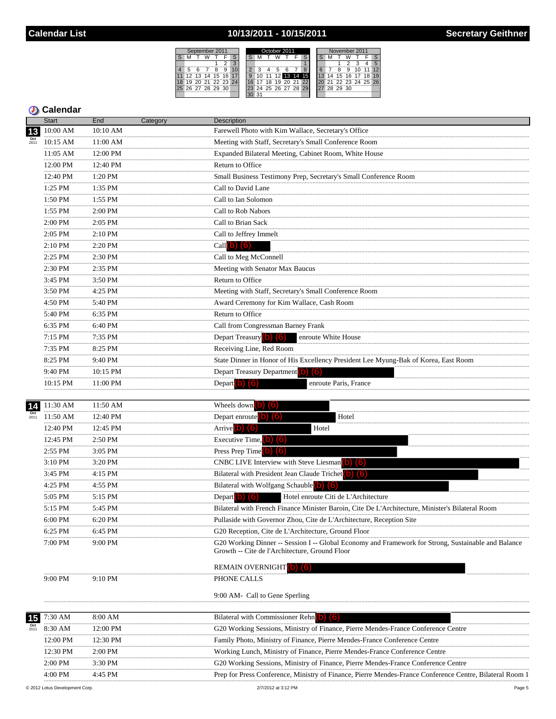### 10/13/2011 - 10/15/2011



|                          | <b>Start</b>   | End          | Category | Description                                                                                                                                           |
|--------------------------|----------------|--------------|----------|-------------------------------------------------------------------------------------------------------------------------------------------------------|
| 13                       | 10:00 AM       | 10:10 AM     |          | Farewell Photo with Kim Wallace, Secretary's Office                                                                                                   |
| $\frac{Oct}{2011}$       | 10:15 AM       | 11:00 AM     |          | Meeting with Staff, Secretary's Small Conference Room                                                                                                 |
|                          | 11:05 AM       | 12:00 PM     |          | Expanded Bilateral Meeting, Cabinet Room, White House                                                                                                 |
|                          | 12:00 PM       | 12:40 PM     |          | Return to Office                                                                                                                                      |
|                          | .<br>12:40 PM  | 1:20 PM      |          | Small Business Testimony Prep, Secretary's Small Conference Room                                                                                      |
|                          | .<br>1:25 PM   | 1:35 PM      |          | Call to David Lane                                                                                                                                    |
|                          | .<br>1:50 PM   | .<br>1:55 PM |          | Call to Ian Solomon                                                                                                                                   |
|                          | 1:55 PM        | 2:00 PM      |          | Call to Rob Nabors                                                                                                                                    |
|                          | .<br>2:00 PM   | .<br>2:05 PM |          | Call to Brian Sack                                                                                                                                    |
|                          | 2:05 PM        | 2:10 PM      |          | Call to Jeffrey Immelt                                                                                                                                |
|                          | 2:10 PM        | 2:20 PM      |          | Call $(b)$ $(6)$                                                                                                                                      |
|                          | .<br>2:25 PM   | 2:30 PM      |          | Call to Meg McConnell                                                                                                                                 |
|                          | 2:30 PM        | 2:35 PM      |          | Meeting with Senator Max Baucus                                                                                                                       |
|                          | .<br>3:45 PM   | 3:50 PM      |          | Return to Office                                                                                                                                      |
|                          | 3:50 PM        | $4:25$ PM    |          | Meeting with Staff, Secretary's Small Conference Room                                                                                                 |
|                          | .<br>4:50 PM   | .<br>5:40 PM |          | Award Ceremony for Kim Wallace, Cash Room                                                                                                             |
|                          | 5:40 PM        | 6:35 PM      |          | Return to Office                                                                                                                                      |
|                          | .<br>$6:35$ PM | .<br>6:40 PM |          | Call from Congressman Barney Frank                                                                                                                    |
|                          | 7:15 PM        | 7:35 PM      |          | Depart Treasury (b) (6)<br>enroute White House                                                                                                        |
|                          | .<br>7:35 PM   | 8:25 PM      |          | Receiving Line, Red Room                                                                                                                              |
|                          | 8:25 PM        | 9:40 PM      |          | State Dinner in Honor of His Excellency President Lee Myung-Bak of Korea, East Room                                                                   |
|                          | 9:40 PM        | 10:15 PM     |          | Depart Treasury Department (b) (6)                                                                                                                    |
|                          | 10:15 PM       | 11:00 PM     |          | Depart $(b)$ $(6)$<br>enroute Paris, France                                                                                                           |
|                          |                |              |          |                                                                                                                                                       |
| 14                       | 11:30 AM       | 11:50 AM     |          | Wheels down $\begin{bmatrix} 0 \\ 0 \end{bmatrix}$ $\begin{bmatrix} 6 \\ 1 \end{bmatrix}$                                                             |
| $\frac{Oct}{2011}$       | 11:50 AM       | 12:40 PM     |          | Depart enroute $(b)$ $(6)$<br>Hotel                                                                                                                   |
|                          | 12:40 PM       | 12:45 PM     |          | Arrive $(b)$ $(6)$<br>Hotel                                                                                                                           |
|                          | 12:45 PM       | 2:50 PM      |          | Executive Time, $\boxed{b}$ $\boxed{6}$                                                                                                               |
|                          | 2:55 PM<br>.   | $3:05$ PM    |          | Press Prep Time b) (6)                                                                                                                                |
|                          | 3:10 PM        | 3:20 PM      |          | CNBC LIVE Interview with Steve Liesman(b) (6)                                                                                                         |
|                          | 3:45 PM<br>.   | 4:15 PM      |          | Bilateral with President Jean Claude Trichet <sup>(b)</sup> (6)                                                                                       |
|                          | 4:25 PM        | 4:55 PM      |          | Bilateral with Wolfgang Schauble (b) (6)                                                                                                              |
|                          | 5:05 PM        | 5:15 PM      |          | Hotel enroute Citi de L'Architecture<br>Depart $(b)$ $(6)$                                                                                            |
|                          | 5:15 PM        | 5:45 PM      |          | Bilateral with French Finance Minister Baroin, Cite De L'Architecture, Minister's Bilateral Room                                                      |
|                          | 6:00 PM        | 6:20 PM      |          | Pullaside with Governor Zhou, Cite de L'Architecture, Reception Site                                                                                  |
|                          | 6:25 PM        | 6:45 PM      |          | G20 Reception, Cite de L'Architecture, Ground Floor                                                                                                   |
|                          | 7:00 PM        | 9:00 PM      |          | G20 Working Dinner -- Session I -- Global Economy and Framework for Strong, Sustainable and Balance<br>Growth -- Cite de l'Architecture, Ground Floor |
|                          |                |              |          | <b>REMAIN OVERNIGHT</b> (b)<br>(lo)                                                                                                                   |
|                          | 9:00 PM        | 9:10 PM      |          | PHONE CALLS                                                                                                                                           |
|                          |                |              |          | 9:00 AM- Call to Gene Sperling                                                                                                                        |
|                          | 7:30 AM        | 8:00 AM      |          | Bilateral with Commissioner Rehn(b) (6)                                                                                                               |
| 15<br>$\frac{Oct}{2011}$ | 8:30 AM        | 12:00 PM     |          | G20 Working Sessions, Ministry of Finance, Pierre Mendes-France Conference Centre                                                                     |
|                          | 12:00 PM       | 12:30 PM     |          | Family Photo, Ministry of Finance, Pierre Mendes-France Conference Centre                                                                             |
|                          | <br>12:30 PM   | $2:00$ PM    |          | Working Lunch, Ministry of Finance, Pierre Mendes-France Conference Centre                                                                            |
|                          | 2:00 PM        | 3:30 PM      |          | G20 Working Sessions, Ministry of Finance, Pierre Mendes-France Conference Centre                                                                     |
|                          | <br>4.00 PM    | $4.45$ PM    |          | Prep for Press Conference, Ministry of Finance, Pierre Mendes-France Conference Centre, Bilateral Room 1                                              |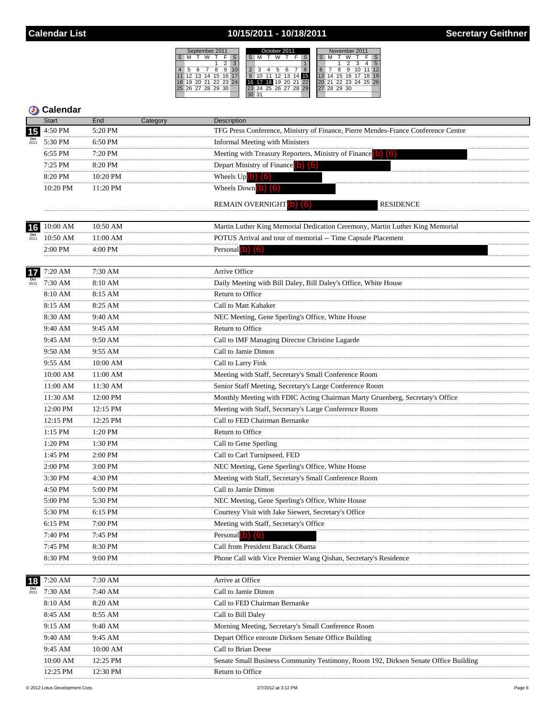### 10/15/2011 - 10/18/2011



| <b>Calendar</b>                |                 |                                                                                           |
|--------------------------------|-----------------|-------------------------------------------------------------------------------------------|
| <b>Start</b>                   | End<br>Category | Description                                                                               |
| 4:50 PM<br>15                  | 5:20 PM         | TFG Press Conference, Ministry of Finance, Pierre Mendes-France Conference Centre         |
| 5:30 PM                        | 6:50 PM         | <b>Informal Meeting with Ministers</b>                                                    |
| 6:55 PM                        | 7:20 PM         | Meeting with Treasury Reporters, Ministry of Finance (b) (6)                              |
| 7:25 PM                        | 8:20 PM         | Depart Ministry of Finance (0) (6)                                                        |
| 8:20 PM                        | 10:20 PM        | Wheels $Up(b)$ $(6)$                                                                      |
| 10:20 PM                       | 11:20 PM        | Wheels Down $\begin{pmatrix} 0 \\ 0 \end{pmatrix}$ $\begin{pmatrix} 6 \\ 0 \end{pmatrix}$ |
|                                |                 | REMAIN OVERNIGHT (b) (6)<br><b>RESIDENCE</b>                                              |
|                                |                 |                                                                                           |
| 10:00 AM<br>16                 | 10:50 AM        | Martin Luther King Memorial Dedication Ceremony, Martin Luther King Memorial              |
| $\frac{Oct}{2011}$<br>10:50 AM | 11:00 AM        | POTUS Arrival and tour of memorial -- Time Capsule Placement                              |
| 2:00 PM                        | 4:00 PM         | Personal $(b)$ $(6)$                                                                      |
|                                | 7:30 AM         | Arrive Office                                                                             |
| 7:20 AM<br>17                  |                 |                                                                                           |
| 7:30 AM                        | 8:10 AM         | Daily Meeting with Bill Daley, Bill Daley's Office, White House                           |
| 8:10 AM                        | 8:15 AM         | Return to Office                                                                          |
| 8:15 AM<br>.                   | 8:25 AM<br>.    | Call to Matt Kabaker                                                                      |
| 8:30 AM                        | 9:40 AM         | NEC Meeting, Gene Sperling's Office, White House                                          |
| 9:40 AM                        | 9:45 AM         | Return to Office                                                                          |
| 9:45 AM                        | 9:50 AM         | Call to IMF Managing Director Christine Lagarde                                           |
| 9:50 AM<br>                    | 9:55 AM         | Call to Jamie Dimon                                                                       |
| 9:55 AM<br>                    | $10:00$ AM      | Call to Larry Fink                                                                        |
| 10:00 AM                       | 11:00 AM        | Meeting with Staff, Secretary's Small Conference Room                                     |
| 11:00 AM<br>                   | 11:30 AM        | Senior Staff Meeting, Secretary's Large Conference Room                                   |
| 11:30 AM                       | 12:00 PM        | Monthly Meeting with FDIC Acting Chairman Marty Gruenberg, Secretary's Office             |
| 12:00 PM                       | 12:15 PM<br>.   | Meeting with Staff, Secretary's Large Conference Room                                     |
| 12:15 PM                       | 12:25 PM        | Call to FED Chairman Bernanke                                                             |
| 1:15 PM                        | 1:20 PM         | Return to Office                                                                          |
| 1:20 PM                        | 1:30 PM         | Call to Gene Sperling                                                                     |
| 1:45 PM                        | 2:00 PM         | Call to Carl Turnipseed, FED                                                              |
| 2:00 PM<br>                    | 3:00 PM<br>.    | NEC Meeting, Gene Sperling's Office, White House                                          |
| 3:30 PM<br>.                   | 4:30 PM         | Meeting with Staff, Secretary's Small Conference Room                                     |
| 4:50 PM                        | 5:00 PM         | Call to Jamie Dimon                                                                       |
| 5:00 PM                        | 5:30 PM         | NEC Meeting, Gene Sperling's Office, White House                                          |
| 5:30 PM<br>.                   | 6:15 PM         | Courtesy Visit with Jake Siewert, Secretary's Office                                      |
| 6:15 PM                        | 7:00 PM         | Meeting with Staff, Secretary's Office                                                    |
| 7:40 PM                        | 7:45 PM         | Personal <b>D</b>                                                                         |
| 7:45 PM                        | 8:30 PM         | Call from President Barack Obama                                                          |
| 8:30 PM                        | 9:00 PM         | Phone Call with Vice Premier Wang Qishan, Secretary's Residence                           |
|                                |                 |                                                                                           |
| 7:20 AM                        | 7:30 AM         | Arrive at Office                                                                          |
| 7:30 AM                        | 7:40 AM         | Call to Jamie Dimon                                                                       |
| 8:10 AM                        | 8:20 AM         | Call to FED Chairman Bernanke                                                             |
| 8:45 AM                        | 8:55 AM         | Call to Bill Daley                                                                        |
| 9:15 AM<br>                    | 9:40 AM         | Morning Meeting, Secretary's Small Conference Room                                        |
| 9:40 AM                        | 9:45 AM         | Depart Office enroute Dirksen Senate Office Building                                      |
| 9:45 AM                        | 10:00 AM        | Call to Brian Deese                                                                       |
| 10:00 AM                       | 12:25 PM        | Senate Small Business Community Testimony, Room 192, Dirksen Senate Office Building       |
| 12:25 PM                       | 12:30 PM        | Return to Office                                                                          |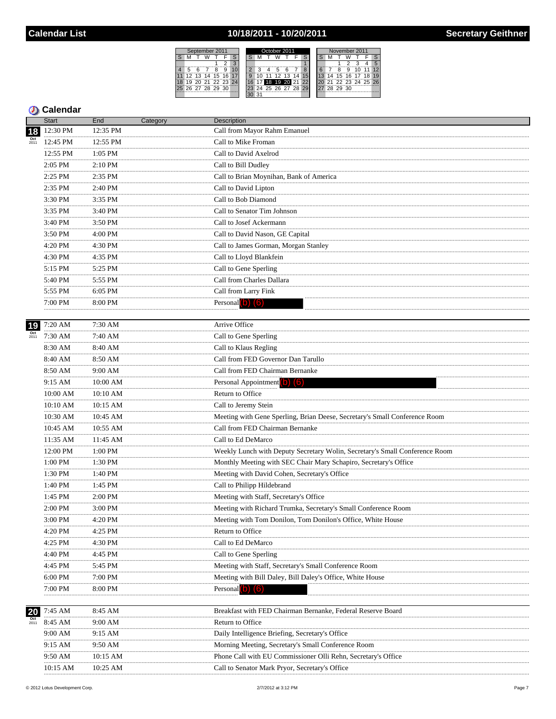### 10/18/2011 - 10/20/2011



|                 | Start        | End            | Category | <b>Description</b>                                                          |
|-----------------|--------------|----------------|----------|-----------------------------------------------------------------------------|
| 18              | 12:30 PM     | 12:35 PM       |          | Call from Mayor Rahm Emanuel                                                |
|                 | 12:45 PM     | 12:55 PM       |          | Call to Mike Froman                                                         |
|                 | 12:55 PM     | 1:05 PM        |          | Call to David Axelrod                                                       |
|                 | <br>2:05 PM  | 2:10 PM        |          | Call to Bill Dudley                                                         |
|                 | .<br>2:25 PM | 2:35 PM        |          | Call to Brian Moynihan, Bank of America                                     |
|                 | .<br>2:35 PM | 2:40 PM        |          | Call to David Lipton                                                        |
|                 | .<br>3:30 PM | 3:35 PM        |          | Call to Bob Diamond                                                         |
|                 | 3:35 PM      | 3:40 PM        |          | Call to Senator Tim Johnson                                                 |
|                 | .<br>3:40 PM | .<br>3:50 PM   |          | Call to Josef Ackermann                                                     |
|                 | .<br>3:50 PM | .<br>4:00 PM   |          | Call to David Nason, GE Capital                                             |
|                 | .<br>4:20 PM | 4:30 PM        |          | Call to James Gorman, Morgan Stanley                                        |
|                 | .<br>4:30 PM | 4:35 PM        |          | Call to Lloyd Blankfein                                                     |
|                 | .<br>5:15 PM | .<br>5:25 PM   |          | Call to Gene Sperling                                                       |
|                 | 5:40 PM      | 5:55 PM        |          | Call from Charles Dallara                                                   |
|                 | 5:55 PM      | 6:05 PM        |          | Call from Larry Fink                                                        |
|                 | 7:00 PM      | 8:00 PM        |          | Personal (b) (6)                                                            |
|                 |              |                |          |                                                                             |
| 19              | 7:20 AM      | 7:30 AM        |          | Arrive Office                                                               |
| $_{2011}^{Oct}$ | 7:30 AM      | 7:40 AM        |          | Call to Gene Sperling                                                       |
|                 | 8:30 AM      | .<br>8:40 AM   |          | Call to Klaus Regling                                                       |
|                 | 8:40 AM      | 8:50 AM        |          | Call from FED Governor Dan Tarullo                                          |
|                 | .<br>8:50 AM | .<br>9:00 AM   |          | Call from FED Chairman Bernanke                                             |
|                 | .<br>9:15 AM | 10:00 AM       |          | Personal Appointment (b) (6)                                                |
|                 | 10:00 AM     | 10:10 AM       |          | Return to Office                                                            |
|                 | 10:10 AM     | 10:15 AM       |          | Call to Jeremy Stein                                                        |
|                 | 10:30 AM     | 10:45 AM       |          | Meeting with Gene Sperling, Brian Deese, Secretary's Small Conference Room  |
|                 | 10:45 AM     | 10:55 AM       |          | Call from FED Chairman Bernanke                                             |
|                 | 11:35 AM     | 11:45 AM       |          | Call to Ed DeMarco                                                          |
|                 | 12:00 PM     | .<br>$1:00$ PM |          | Weekly Lunch with Deputy Secretary Wolin, Secretary's Small Conference Room |
|                 | .<br>1:00 PM | .<br>1:30 PM   |          | Monthly Meeting with SEC Chair Mary Schapiro, Secretary's Office            |
|                 | .<br>1:30 PM | .<br>1:40 PM   |          | Meeting with David Cohen, Secretary's Office                                |
|                 | .<br>1:40 PM | .<br>1:45 PM   |          | Call to Philipp Hildebrand                                                  |
|                 | .<br>1:45 PM | 2:00 PM        |          | Meeting with Staff, Secretary's Office                                      |
|                 | 2:00 PM      | 3:00 PM        |          | Meeting with Richard Trumka, Secretary's Small Conference Room              |
|                 | 3:00 PM      | 4:20 PM        |          | Meeting with Tom Donilon, Tom Donilon's Office, White House                 |
|                 | 4:20 PM      | 4:25 PM        |          | Return to Office                                                            |
|                 | <br>4:25 PM  | 4:30 PM        |          | Call to Ed DeMarco                                                          |
|                 | 4:40 PM      | 4:45 PM        |          | Call to Gene Sperling                                                       |
|                 | 4:45 PM      | 5:45 PM        |          | Meeting with Staff, Secretary's Small Conference Room                       |
|                 | $6:00$ PM    | 7:00 PM        |          | Meeting with Bill Daley, Bill Daley's Office, White House                   |
|                 | 7:00 PM      | 8:00 PM        |          | Personal <b>b</b>                                                           |
|                 |              |                |          |                                                                             |
| 20              | 7:45 AM      | 8:45 AM        |          | Breakfast with FED Chairman Bernanke, Federal Reserve Board                 |
|                 | 8:45 AM      | 9:00 AM        |          | Return to Office                                                            |
|                 | 9:00 AM      | 9:15 AM        |          | Daily Intelligence Briefing, Secretary's Office                             |
|                 | 9:15 AM      | 9:50 AM        |          | Morning Meeting, Secretary's Small Conference Room                          |
|                 | 9:50 AM      | 10:15 AM       |          | Phone Call with EU Commissioner Olli Rehn, Secretary's Office               |
|                 | 10:15 AM     | 10:25 AM       |          | Call to Senator Mark Pryor, Secretary's Office                              |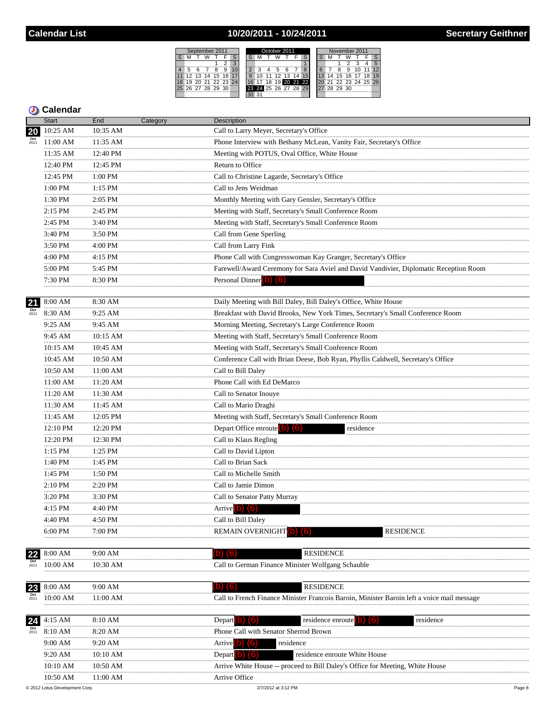### 10/20/2011 - 10/24/2011



### **5** Calendar

|                    | Start              | End           | Category | Description                                                                                |
|--------------------|--------------------|---------------|----------|--------------------------------------------------------------------------------------------|
| 20                 | 10:25 AM           | 10:35 AM      |          | Call to Larry Meyer, Secretary's Office                                                    |
|                    | 11:00 AM           | 11:35 AM      |          | Phone Interview with Bethany McLean, Vanity Fair, Secretary's Office                       |
|                    | 11:35 AM           | 12:40 PM      |          | Meeting with POTUS, Oval Office, White House                                               |
|                    | 12:40 PM           | 12:45 PM      |          | Return to Office                                                                           |
|                    | 12:45 PM           | 1:00 PM       |          | Call to Christine Lagarde, Secretary's Office                                              |
|                    | 1:00 PM            | 1:15 PM<br>.  |          | Call to Jens Weidman                                                                       |
|                    | <br>1:30 PM        | 2:05 PM       |          | Monthly Meeting with Gary Gensler, Secretary's Office                                      |
|                    | <br>$2:15$ PM      | 2:45 PM       |          | Meeting with Staff, Secretary's Small Conference Room                                      |
|                    | <br>2:45 PM        | .<br>3:40 PM  |          | Meeting with Staff, Secretary's Small Conference Room                                      |
|                    | <br>3:40 PM        | 3:50 PM       |          | Call from Gene Sperling                                                                    |
|                    | 3:50 PM            | 4:00 PM       |          | Call from Larry Fink                                                                       |
|                    | <br>4:00 PM        | 4:15 PM       |          | Phone Call with Congresswoman Kay Granger, Secretary's Office                              |
|                    | <br>5:00 PM        | 5:45 PM       |          | Farewell/Award Ceremony for Sara Aviel and David Vandivier, Diplomatic Reception Room      |
|                    | 7:30 PM            | 8:30 PM       |          | Personal Dinner (b) (6)                                                                    |
|                    |                    |               |          |                                                                                            |
| 21                 | 8:00 AM            | 8:30 AM       |          | Daily Meeting with Bill Daley, Bill Daley's Office, White House                            |
| 2011               | 8:30 AM            | 9:25 AM       |          | Breakfast with David Brooks, New York Times, Secretary's Small Conference Room             |
|                    | 9:25 AM            | 9:45 AM       |          | Morning Meeting, Secretary's Large Conference Room                                         |
|                    | 9:45 AM<br>        | 10:15 AM      |          | Meeting with Staff, Secretary's Small Conference Room                                      |
|                    | 10:15 AM           | 10:45 AM      |          | Meeting with Staff, Secretary's Small Conference Room                                      |
|                    | 10:45 AM<br>       | 10:50 AM      |          | Conference Call with Brian Deese, Bob Ryan, Phyllis Caldwell, Secretary's Office           |
|                    | $10:50$ AM         | $11:00$ AM    |          | Call to Bill Daley                                                                         |
|                    | 11:00 AM           | 11:20 AM      |          | Phone Call with Ed DeMarco                                                                 |
|                    | 11:20 AM           | 11:30 AM<br>  |          | Call to Senator Inouye                                                                     |
|                    | 11:30 AM           | 11:45 AM      |          | Call to Mario Draghi                                                                       |
|                    | 11:45 AM<br>       | 12:05 PM      |          | Meeting with Staff, Secretary's Small Conference Room                                      |
|                    | 12:10 PM<br>.      | 12:20 PM      |          | Depart Office enroute (b) (6)<br>residence                                                 |
|                    | 12:20 PM<br>       | 12:30 PM<br>. |          | Call to Klaus Regling                                                                      |
|                    | $1:15$ PM<br>.     | $1:25$ PM     |          | Call to David Lipton                                                                       |
|                    | 1:40 PM            | 1:45 PM       |          | Call to Brian Sack                                                                         |
|                    | .<br>$1:45$ PM<br> | 1:50 PM<br>.  |          | Call to Michelle Smith                                                                     |
|                    | 2:10 PM            | 2:20 PM       |          | Call to Jamie Dimon                                                                        |
|                    | 3:20 PM            | 3:30 PM       |          | Call to Senator Patty Murray                                                               |
|                    | .<br>4:15 PM       | 4:40 PM       |          | Arrive <sup>(b)</sup> (6)                                                                  |
|                    | 4:40 PM            | 4:50 PM       |          | Call to Bill Daley                                                                         |
|                    | $6:00$ PM          | 7:00 PM       |          | <b>REMAIN OVERNIGHT</b> (b)<br><b>RESIDENCE</b><br>l b                                     |
| 22                 | 8:00 AM            | 9:00 AM       |          | <b>RESIDENCE</b><br>$(b)$ $(6)$                                                            |
| $\frac{Oct}{2011}$ | 10:00 AM           | 10:30 AM      |          | Call to German Finance Minister Wolfgang Schauble                                          |
|                    |                    |               |          |                                                                                            |
| 23                 | 8:00 AM            | 9:00 AM       |          | $(b)$ $(6)$<br><b>RESIDENCE</b>                                                            |
| $\frac{Oct}{2011}$ | 10:00 AM<br>       | 11:00 AM<br>  |          | Call to French Finance Minister Francois Baroin, Minister Baroin left a voice mail message |
| 24                 | 4:15 AM            | 8:10 AM       |          | Depart <b>O</b><br>$\blacksquare$<br>residence enroute<br>residence<br>Тo                  |
| 2011               | 8:10 AM            | 8:20 AM       |          | Phone Call with Senator Sherrod Brown                                                      |
|                    | 9:00 AM            | 9:20 AM       |          | <b>Arrive<sup>l</sup></b><br>(6)<br>residence                                              |
|                    | <br>9:20 AM        | .<br>10:10 AM |          | Depart <sup>1</sup><br>residence enroute White House                                       |
|                    | 10:10 AM           | 10:50 AM      |          | Arrive White House -- proceed to Bill Daley's Office for Meeting, White House              |
|                    | 10:50 AM           | 11:00 AM      |          | Arrive Office                                                                              |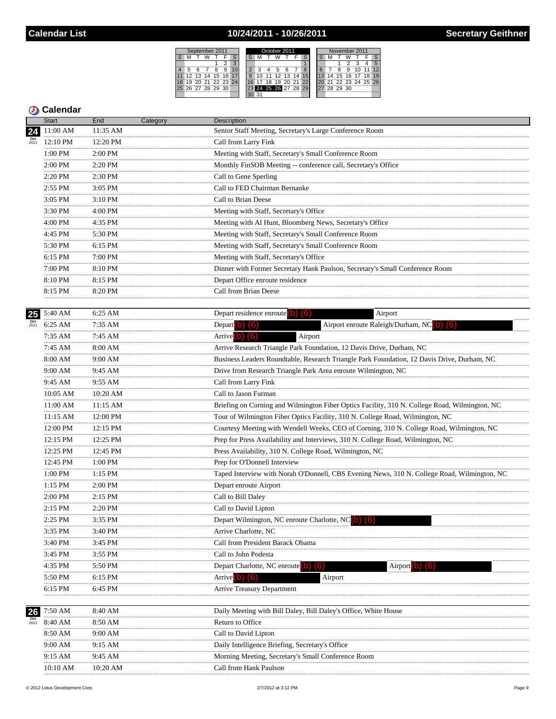## 10/24/2011 - 10/26/2011

 $\overline{M}$ ʻä Ŧ. 11 12 13 1 |18||19||20||2<br>|25||26||27||2

| September 2011          | October 2011             | November 2011           |  |  |  |  |  |  |  |
|-------------------------|--------------------------|-------------------------|--|--|--|--|--|--|--|
| м                       | s                        |                         |  |  |  |  |  |  |  |
|                         |                          |                         |  |  |  |  |  |  |  |
| 6<br>5<br>9<br>я        | 8                        | 12<br>9                 |  |  |  |  |  |  |  |
| 12 13<br>16 17<br>14 15 | .14<br>12, 13<br>15<br>g | 15 16 17 18<br>19<br>14 |  |  |  |  |  |  |  |
| 19 20 21 22 23 24       | ジジ<br>я<br>19<br>20      | 21 22 23 24 25 26       |  |  |  |  |  |  |  |
| 26 27 28 29 30          | 24 25 26 27 28<br>29     | 28 29 30                |  |  |  |  |  |  |  |
|                         |                          |                         |  |  |  |  |  |  |  |

| 11:00 AM<br>11:35 AM<br>Senior Staff Meeting, Secretary's Large Conference Room<br>24<br>12:10 PM<br>12:20 PM<br>Call from Larry Fink<br>2:00 PM<br>Meeting with Staff, Secretary's Small Conference Room<br>1:00 PM<br>2:00 PM<br>2:20 PM<br>Monthly FinSOB Meeting -- conference call, Secretary's Office<br>.<br>2:20 PM<br>2:30 PM<br>Call to Gene Sperling<br>Call to FED Chairman Bernanke<br>2:55 PM<br>3:05 PM<br>.<br>$3:05$ PM<br>$3:10$ PM<br>Call to Brian Deese<br>.<br>3:30 PM<br>4:00 PM<br>Meeting with Staff, Secretary's Office<br>Meeting with Al Hunt, Bloomberg News, Secretary's Office<br>4:00 PM<br>4:35 PM<br>.<br>.<br>4:45 PM<br>5:30 PM<br>Meeting with Staff, Secretary's Small Conference Room<br>6:15 PM<br>Meeting with Staff, Secretary's Small Conference Room<br>5:30 PM<br>.<br>6:15 PM<br>7:00 PM<br>Meeting with Staff, Secretary's Office<br>7:00 PM<br>8:10 PM<br>Dinner with Former Secretary Hank Paulson, Secretary's Small Conference Room<br>8:10 PM<br>8:15 PM<br>Depart Office enroute residence<br>8:15 PM<br>8:20 PM<br>Call from Brian Deese<br>Depart residence enroute $(6)(6)$<br>5:40 AM<br>6:25 AM<br>Airport<br>$\frac{Oct}{2011}$<br>Airport enroute Raleigh/Durham, NC (b) (6)<br>6:25 AM<br>7:35 AM<br>Depart $(b)$ $(6)$<br>.<br>Arrive $(b)$ $(6)$<br>$7:45$ AM<br>Airport<br>$7:35$ AM<br>Arrive Research Triangle Park Foundation, 12 Davis Drive, Durham, NC<br>8:00 AM<br>7:45 AM<br>Business Leaders Roundtable, Research Triangle Park Foundation, 12 Davis Drive, Durham, NC<br>8:00 AM<br>9:00 AM<br>Drive from Research Triangle Park Area enroute Wilmington, NC<br>9:00 AM<br>9:45 AM<br>9:45 AM<br>9:55 AM<br>Call from Larry Fink<br>10:05 AM<br>10:20 AM<br>Call to Jason Furman<br>11:15 AM<br>11:00 AM<br>Briefing on Corning and Wilmington Fiber Optics Facility, 310 N. College Road, Wilmington, NC<br>11:15 AM<br>12:00 PM<br>Tour of Wilmington Fiber Optics Facility, 310 N. College Road, Wilmington, NC<br>.<br>12:00 PM<br>12:15 PM<br>Courtesy Meeting with Wendell Weeks, CEO of Corning, 310 N. College Road, Wilmington, NC<br>.<br>$\frac{12:25 \text{ PM}}{12:25 \text{ PM}}$<br>12:15 PM<br>Prep for Press Availability and Interviews, 310 N. College Road, Wilmington, NC<br>12:45 PM<br>12:25 PM<br>Press Availability, 310 N. College Road, Wilmington, NC<br>.<br>Prep for O'Donnell Interview<br>12:45 PM<br>$1:00$ PM<br>.<br>Taped Interview with Norah O'Donnell, CBS Evening News, 310 N. College Road, Wilmington, NC<br>1:00 PM<br>1:15 PM<br>1:15 PM<br>2:00 PM<br>Depart enroute Airport<br>2:00 PM<br>2:15 PM<br>Call to Bill Daley<br>2:15 PM<br>2:20 PM<br>Call to David Lipton<br>Depart Wilmington, NC enroute Charlotte, NC (b) (6)<br>2:25 PM<br>3:35 PM<br><br>.<br>3:35 PM<br>3:40 PM<br>Arrive Charlotte, NC<br>3:40 PM<br>3:45 PM<br>Call from President Barack Obama<br>3:45 PM<br>3:55 PM<br>Call to John Podesta<br>4:35 PM<br>5:50 PM<br>Depart Charlotte, NC enroute<br>Airport<br>Arrive <sup>(b)</sup> (6)<br>5:50 PM<br>Airport<br>6:15 PM<br>6:15 PM<br><b>Arrive Treasury Department</b><br>6:45 PM<br>7:50 AM<br>8:40 AM<br>Daily Meeting with Bill Daley, Bill Daley's Office, White House<br>26<br>8:40 AM<br>8:50 AM<br>Return to Office<br>2011<br>8:50 AM<br>9:00 AM<br>Call to David Lipton<br>9:00 AM<br>9:15 AM<br>Daily Intelligence Briefing, Secretary's Office<br>9:45 AM<br>9:15 AM<br>Morning Meeting, Secretary's Small Conference Room |    | <b>Start</b> | End      | Category | Description            |
|------------------------------------------------------------------------------------------------------------------------------------------------------------------------------------------------------------------------------------------------------------------------------------------------------------------------------------------------------------------------------------------------------------------------------------------------------------------------------------------------------------------------------------------------------------------------------------------------------------------------------------------------------------------------------------------------------------------------------------------------------------------------------------------------------------------------------------------------------------------------------------------------------------------------------------------------------------------------------------------------------------------------------------------------------------------------------------------------------------------------------------------------------------------------------------------------------------------------------------------------------------------------------------------------------------------------------------------------------------------------------------------------------------------------------------------------------------------------------------------------------------------------------------------------------------------------------------------------------------------------------------------------------------------------------------------------------------------------------------------------------------------------------------------------------------------------------------------------------------------------------------------------------------------------------------------------------------------------------------------------------------------------------------------------------------------------------------------------------------------------------------------------------------------------------------------------------------------------------------------------------------------------------------------------------------------------------------------------------------------------------------------------------------------------------------------------------------------------------------------------------------------------------------------------------------------------------------------------------------------------------------------------------------------------------------------------------------------------------------------------------------------------------------------------------------------------------------------------------------------------------------------------------------------------------------------------------------------------------------------------------------------------------------------------------------------------------------------------------------------------------------------------------------------------------------------------------------------------------------------------------------------------------------------------------------------------------------------------------------------------------------------------------------------------------------------------------------------------------------------|----|--------------|----------|----------|------------------------|
|                                                                                                                                                                                                                                                                                                                                                                                                                                                                                                                                                                                                                                                                                                                                                                                                                                                                                                                                                                                                                                                                                                                                                                                                                                                                                                                                                                                                                                                                                                                                                                                                                                                                                                                                                                                                                                                                                                                                                                                                                                                                                                                                                                                                                                                                                                                                                                                                                                                                                                                                                                                                                                                                                                                                                                                                                                                                                                                                                                                                                                                                                                                                                                                                                                                                                                                                                                                                                                                                                          |    |              |          |          |                        |
|                                                                                                                                                                                                                                                                                                                                                                                                                                                                                                                                                                                                                                                                                                                                                                                                                                                                                                                                                                                                                                                                                                                                                                                                                                                                                                                                                                                                                                                                                                                                                                                                                                                                                                                                                                                                                                                                                                                                                                                                                                                                                                                                                                                                                                                                                                                                                                                                                                                                                                                                                                                                                                                                                                                                                                                                                                                                                                                                                                                                                                                                                                                                                                                                                                                                                                                                                                                                                                                                                          |    |              |          |          |                        |
|                                                                                                                                                                                                                                                                                                                                                                                                                                                                                                                                                                                                                                                                                                                                                                                                                                                                                                                                                                                                                                                                                                                                                                                                                                                                                                                                                                                                                                                                                                                                                                                                                                                                                                                                                                                                                                                                                                                                                                                                                                                                                                                                                                                                                                                                                                                                                                                                                                                                                                                                                                                                                                                                                                                                                                                                                                                                                                                                                                                                                                                                                                                                                                                                                                                                                                                                                                                                                                                                                          |    |              |          |          |                        |
|                                                                                                                                                                                                                                                                                                                                                                                                                                                                                                                                                                                                                                                                                                                                                                                                                                                                                                                                                                                                                                                                                                                                                                                                                                                                                                                                                                                                                                                                                                                                                                                                                                                                                                                                                                                                                                                                                                                                                                                                                                                                                                                                                                                                                                                                                                                                                                                                                                                                                                                                                                                                                                                                                                                                                                                                                                                                                                                                                                                                                                                                                                                                                                                                                                                                                                                                                                                                                                                                                          |    |              |          |          |                        |
|                                                                                                                                                                                                                                                                                                                                                                                                                                                                                                                                                                                                                                                                                                                                                                                                                                                                                                                                                                                                                                                                                                                                                                                                                                                                                                                                                                                                                                                                                                                                                                                                                                                                                                                                                                                                                                                                                                                                                                                                                                                                                                                                                                                                                                                                                                                                                                                                                                                                                                                                                                                                                                                                                                                                                                                                                                                                                                                                                                                                                                                                                                                                                                                                                                                                                                                                                                                                                                                                                          |    |              |          |          |                        |
|                                                                                                                                                                                                                                                                                                                                                                                                                                                                                                                                                                                                                                                                                                                                                                                                                                                                                                                                                                                                                                                                                                                                                                                                                                                                                                                                                                                                                                                                                                                                                                                                                                                                                                                                                                                                                                                                                                                                                                                                                                                                                                                                                                                                                                                                                                                                                                                                                                                                                                                                                                                                                                                                                                                                                                                                                                                                                                                                                                                                                                                                                                                                                                                                                                                                                                                                                                                                                                                                                          |    |              |          |          |                        |
|                                                                                                                                                                                                                                                                                                                                                                                                                                                                                                                                                                                                                                                                                                                                                                                                                                                                                                                                                                                                                                                                                                                                                                                                                                                                                                                                                                                                                                                                                                                                                                                                                                                                                                                                                                                                                                                                                                                                                                                                                                                                                                                                                                                                                                                                                                                                                                                                                                                                                                                                                                                                                                                                                                                                                                                                                                                                                                                                                                                                                                                                                                                                                                                                                                                                                                                                                                                                                                                                                          |    |              |          |          |                        |
|                                                                                                                                                                                                                                                                                                                                                                                                                                                                                                                                                                                                                                                                                                                                                                                                                                                                                                                                                                                                                                                                                                                                                                                                                                                                                                                                                                                                                                                                                                                                                                                                                                                                                                                                                                                                                                                                                                                                                                                                                                                                                                                                                                                                                                                                                                                                                                                                                                                                                                                                                                                                                                                                                                                                                                                                                                                                                                                                                                                                                                                                                                                                                                                                                                                                                                                                                                                                                                                                                          |    |              |          |          |                        |
|                                                                                                                                                                                                                                                                                                                                                                                                                                                                                                                                                                                                                                                                                                                                                                                                                                                                                                                                                                                                                                                                                                                                                                                                                                                                                                                                                                                                                                                                                                                                                                                                                                                                                                                                                                                                                                                                                                                                                                                                                                                                                                                                                                                                                                                                                                                                                                                                                                                                                                                                                                                                                                                                                                                                                                                                                                                                                                                                                                                                                                                                                                                                                                                                                                                                                                                                                                                                                                                                                          |    |              |          |          |                        |
|                                                                                                                                                                                                                                                                                                                                                                                                                                                                                                                                                                                                                                                                                                                                                                                                                                                                                                                                                                                                                                                                                                                                                                                                                                                                                                                                                                                                                                                                                                                                                                                                                                                                                                                                                                                                                                                                                                                                                                                                                                                                                                                                                                                                                                                                                                                                                                                                                                                                                                                                                                                                                                                                                                                                                                                                                                                                                                                                                                                                                                                                                                                                                                                                                                                                                                                                                                                                                                                                                          |    |              |          |          |                        |
|                                                                                                                                                                                                                                                                                                                                                                                                                                                                                                                                                                                                                                                                                                                                                                                                                                                                                                                                                                                                                                                                                                                                                                                                                                                                                                                                                                                                                                                                                                                                                                                                                                                                                                                                                                                                                                                                                                                                                                                                                                                                                                                                                                                                                                                                                                                                                                                                                                                                                                                                                                                                                                                                                                                                                                                                                                                                                                                                                                                                                                                                                                                                                                                                                                                                                                                                                                                                                                                                                          |    |              |          |          |                        |
|                                                                                                                                                                                                                                                                                                                                                                                                                                                                                                                                                                                                                                                                                                                                                                                                                                                                                                                                                                                                                                                                                                                                                                                                                                                                                                                                                                                                                                                                                                                                                                                                                                                                                                                                                                                                                                                                                                                                                                                                                                                                                                                                                                                                                                                                                                                                                                                                                                                                                                                                                                                                                                                                                                                                                                                                                                                                                                                                                                                                                                                                                                                                                                                                                                                                                                                                                                                                                                                                                          |    |              |          |          |                        |
|                                                                                                                                                                                                                                                                                                                                                                                                                                                                                                                                                                                                                                                                                                                                                                                                                                                                                                                                                                                                                                                                                                                                                                                                                                                                                                                                                                                                                                                                                                                                                                                                                                                                                                                                                                                                                                                                                                                                                                                                                                                                                                                                                                                                                                                                                                                                                                                                                                                                                                                                                                                                                                                                                                                                                                                                                                                                                                                                                                                                                                                                                                                                                                                                                                                                                                                                                                                                                                                                                          |    |              |          |          |                        |
|                                                                                                                                                                                                                                                                                                                                                                                                                                                                                                                                                                                                                                                                                                                                                                                                                                                                                                                                                                                                                                                                                                                                                                                                                                                                                                                                                                                                                                                                                                                                                                                                                                                                                                                                                                                                                                                                                                                                                                                                                                                                                                                                                                                                                                                                                                                                                                                                                                                                                                                                                                                                                                                                                                                                                                                                                                                                                                                                                                                                                                                                                                                                                                                                                                                                                                                                                                                                                                                                                          |    |              |          |          |                        |
|                                                                                                                                                                                                                                                                                                                                                                                                                                                                                                                                                                                                                                                                                                                                                                                                                                                                                                                                                                                                                                                                                                                                                                                                                                                                                                                                                                                                                                                                                                                                                                                                                                                                                                                                                                                                                                                                                                                                                                                                                                                                                                                                                                                                                                                                                                                                                                                                                                                                                                                                                                                                                                                                                                                                                                                                                                                                                                                                                                                                                                                                                                                                                                                                                                                                                                                                                                                                                                                                                          |    |              |          |          |                        |
|                                                                                                                                                                                                                                                                                                                                                                                                                                                                                                                                                                                                                                                                                                                                                                                                                                                                                                                                                                                                                                                                                                                                                                                                                                                                                                                                                                                                                                                                                                                                                                                                                                                                                                                                                                                                                                                                                                                                                                                                                                                                                                                                                                                                                                                                                                                                                                                                                                                                                                                                                                                                                                                                                                                                                                                                                                                                                                                                                                                                                                                                                                                                                                                                                                                                                                                                                                                                                                                                                          |    |              |          |          |                        |
|                                                                                                                                                                                                                                                                                                                                                                                                                                                                                                                                                                                                                                                                                                                                                                                                                                                                                                                                                                                                                                                                                                                                                                                                                                                                                                                                                                                                                                                                                                                                                                                                                                                                                                                                                                                                                                                                                                                                                                                                                                                                                                                                                                                                                                                                                                                                                                                                                                                                                                                                                                                                                                                                                                                                                                                                                                                                                                                                                                                                                                                                                                                                                                                                                                                                                                                                                                                                                                                                                          | 25 |              |          |          |                        |
|                                                                                                                                                                                                                                                                                                                                                                                                                                                                                                                                                                                                                                                                                                                                                                                                                                                                                                                                                                                                                                                                                                                                                                                                                                                                                                                                                                                                                                                                                                                                                                                                                                                                                                                                                                                                                                                                                                                                                                                                                                                                                                                                                                                                                                                                                                                                                                                                                                                                                                                                                                                                                                                                                                                                                                                                                                                                                                                                                                                                                                                                                                                                                                                                                                                                                                                                                                                                                                                                                          |    |              |          |          |                        |
|                                                                                                                                                                                                                                                                                                                                                                                                                                                                                                                                                                                                                                                                                                                                                                                                                                                                                                                                                                                                                                                                                                                                                                                                                                                                                                                                                                                                                                                                                                                                                                                                                                                                                                                                                                                                                                                                                                                                                                                                                                                                                                                                                                                                                                                                                                                                                                                                                                                                                                                                                                                                                                                                                                                                                                                                                                                                                                                                                                                                                                                                                                                                                                                                                                                                                                                                                                                                                                                                                          |    |              |          |          |                        |
|                                                                                                                                                                                                                                                                                                                                                                                                                                                                                                                                                                                                                                                                                                                                                                                                                                                                                                                                                                                                                                                                                                                                                                                                                                                                                                                                                                                                                                                                                                                                                                                                                                                                                                                                                                                                                                                                                                                                                                                                                                                                                                                                                                                                                                                                                                                                                                                                                                                                                                                                                                                                                                                                                                                                                                                                                                                                                                                                                                                                                                                                                                                                                                                                                                                                                                                                                                                                                                                                                          |    |              |          |          |                        |
|                                                                                                                                                                                                                                                                                                                                                                                                                                                                                                                                                                                                                                                                                                                                                                                                                                                                                                                                                                                                                                                                                                                                                                                                                                                                                                                                                                                                                                                                                                                                                                                                                                                                                                                                                                                                                                                                                                                                                                                                                                                                                                                                                                                                                                                                                                                                                                                                                                                                                                                                                                                                                                                                                                                                                                                                                                                                                                                                                                                                                                                                                                                                                                                                                                                                                                                                                                                                                                                                                          |    |              |          |          |                        |
|                                                                                                                                                                                                                                                                                                                                                                                                                                                                                                                                                                                                                                                                                                                                                                                                                                                                                                                                                                                                                                                                                                                                                                                                                                                                                                                                                                                                                                                                                                                                                                                                                                                                                                                                                                                                                                                                                                                                                                                                                                                                                                                                                                                                                                                                                                                                                                                                                                                                                                                                                                                                                                                                                                                                                                                                                                                                                                                                                                                                                                                                                                                                                                                                                                                                                                                                                                                                                                                                                          |    |              |          |          |                        |
|                                                                                                                                                                                                                                                                                                                                                                                                                                                                                                                                                                                                                                                                                                                                                                                                                                                                                                                                                                                                                                                                                                                                                                                                                                                                                                                                                                                                                                                                                                                                                                                                                                                                                                                                                                                                                                                                                                                                                                                                                                                                                                                                                                                                                                                                                                                                                                                                                                                                                                                                                                                                                                                                                                                                                                                                                                                                                                                                                                                                                                                                                                                                                                                                                                                                                                                                                                                                                                                                                          |    |              |          |          |                        |
|                                                                                                                                                                                                                                                                                                                                                                                                                                                                                                                                                                                                                                                                                                                                                                                                                                                                                                                                                                                                                                                                                                                                                                                                                                                                                                                                                                                                                                                                                                                                                                                                                                                                                                                                                                                                                                                                                                                                                                                                                                                                                                                                                                                                                                                                                                                                                                                                                                                                                                                                                                                                                                                                                                                                                                                                                                                                                                                                                                                                                                                                                                                                                                                                                                                                                                                                                                                                                                                                                          |    |              |          |          |                        |
|                                                                                                                                                                                                                                                                                                                                                                                                                                                                                                                                                                                                                                                                                                                                                                                                                                                                                                                                                                                                                                                                                                                                                                                                                                                                                                                                                                                                                                                                                                                                                                                                                                                                                                                                                                                                                                                                                                                                                                                                                                                                                                                                                                                                                                                                                                                                                                                                                                                                                                                                                                                                                                                                                                                                                                                                                                                                                                                                                                                                                                                                                                                                                                                                                                                                                                                                                                                                                                                                                          |    |              |          |          |                        |
|                                                                                                                                                                                                                                                                                                                                                                                                                                                                                                                                                                                                                                                                                                                                                                                                                                                                                                                                                                                                                                                                                                                                                                                                                                                                                                                                                                                                                                                                                                                                                                                                                                                                                                                                                                                                                                                                                                                                                                                                                                                                                                                                                                                                                                                                                                                                                                                                                                                                                                                                                                                                                                                                                                                                                                                                                                                                                                                                                                                                                                                                                                                                                                                                                                                                                                                                                                                                                                                                                          |    |              |          |          |                        |
|                                                                                                                                                                                                                                                                                                                                                                                                                                                                                                                                                                                                                                                                                                                                                                                                                                                                                                                                                                                                                                                                                                                                                                                                                                                                                                                                                                                                                                                                                                                                                                                                                                                                                                                                                                                                                                                                                                                                                                                                                                                                                                                                                                                                                                                                                                                                                                                                                                                                                                                                                                                                                                                                                                                                                                                                                                                                                                                                                                                                                                                                                                                                                                                                                                                                                                                                                                                                                                                                                          |    |              |          |          |                        |
|                                                                                                                                                                                                                                                                                                                                                                                                                                                                                                                                                                                                                                                                                                                                                                                                                                                                                                                                                                                                                                                                                                                                                                                                                                                                                                                                                                                                                                                                                                                                                                                                                                                                                                                                                                                                                                                                                                                                                                                                                                                                                                                                                                                                                                                                                                                                                                                                                                                                                                                                                                                                                                                                                                                                                                                                                                                                                                                                                                                                                                                                                                                                                                                                                                                                                                                                                                                                                                                                                          |    |              |          |          |                        |
|                                                                                                                                                                                                                                                                                                                                                                                                                                                                                                                                                                                                                                                                                                                                                                                                                                                                                                                                                                                                                                                                                                                                                                                                                                                                                                                                                                                                                                                                                                                                                                                                                                                                                                                                                                                                                                                                                                                                                                                                                                                                                                                                                                                                                                                                                                                                                                                                                                                                                                                                                                                                                                                                                                                                                                                                                                                                                                                                                                                                                                                                                                                                                                                                                                                                                                                                                                                                                                                                                          |    |              |          |          |                        |
|                                                                                                                                                                                                                                                                                                                                                                                                                                                                                                                                                                                                                                                                                                                                                                                                                                                                                                                                                                                                                                                                                                                                                                                                                                                                                                                                                                                                                                                                                                                                                                                                                                                                                                                                                                                                                                                                                                                                                                                                                                                                                                                                                                                                                                                                                                                                                                                                                                                                                                                                                                                                                                                                                                                                                                                                                                                                                                                                                                                                                                                                                                                                                                                                                                                                                                                                                                                                                                                                                          |    |              |          |          |                        |
|                                                                                                                                                                                                                                                                                                                                                                                                                                                                                                                                                                                                                                                                                                                                                                                                                                                                                                                                                                                                                                                                                                                                                                                                                                                                                                                                                                                                                                                                                                                                                                                                                                                                                                                                                                                                                                                                                                                                                                                                                                                                                                                                                                                                                                                                                                                                                                                                                                                                                                                                                                                                                                                                                                                                                                                                                                                                                                                                                                                                                                                                                                                                                                                                                                                                                                                                                                                                                                                                                          |    |              |          |          |                        |
|                                                                                                                                                                                                                                                                                                                                                                                                                                                                                                                                                                                                                                                                                                                                                                                                                                                                                                                                                                                                                                                                                                                                                                                                                                                                                                                                                                                                                                                                                                                                                                                                                                                                                                                                                                                                                                                                                                                                                                                                                                                                                                                                                                                                                                                                                                                                                                                                                                                                                                                                                                                                                                                                                                                                                                                                                                                                                                                                                                                                                                                                                                                                                                                                                                                                                                                                                                                                                                                                                          |    |              |          |          |                        |
|                                                                                                                                                                                                                                                                                                                                                                                                                                                                                                                                                                                                                                                                                                                                                                                                                                                                                                                                                                                                                                                                                                                                                                                                                                                                                                                                                                                                                                                                                                                                                                                                                                                                                                                                                                                                                                                                                                                                                                                                                                                                                                                                                                                                                                                                                                                                                                                                                                                                                                                                                                                                                                                                                                                                                                                                                                                                                                                                                                                                                                                                                                                                                                                                                                                                                                                                                                                                                                                                                          |    |              |          |          |                        |
|                                                                                                                                                                                                                                                                                                                                                                                                                                                                                                                                                                                                                                                                                                                                                                                                                                                                                                                                                                                                                                                                                                                                                                                                                                                                                                                                                                                                                                                                                                                                                                                                                                                                                                                                                                                                                                                                                                                                                                                                                                                                                                                                                                                                                                                                                                                                                                                                                                                                                                                                                                                                                                                                                                                                                                                                                                                                                                                                                                                                                                                                                                                                                                                                                                                                                                                                                                                                                                                                                          |    |              |          |          |                        |
|                                                                                                                                                                                                                                                                                                                                                                                                                                                                                                                                                                                                                                                                                                                                                                                                                                                                                                                                                                                                                                                                                                                                                                                                                                                                                                                                                                                                                                                                                                                                                                                                                                                                                                                                                                                                                                                                                                                                                                                                                                                                                                                                                                                                                                                                                                                                                                                                                                                                                                                                                                                                                                                                                                                                                                                                                                                                                                                                                                                                                                                                                                                                                                                                                                                                                                                                                                                                                                                                                          |    |              |          |          |                        |
|                                                                                                                                                                                                                                                                                                                                                                                                                                                                                                                                                                                                                                                                                                                                                                                                                                                                                                                                                                                                                                                                                                                                                                                                                                                                                                                                                                                                                                                                                                                                                                                                                                                                                                                                                                                                                                                                                                                                                                                                                                                                                                                                                                                                                                                                                                                                                                                                                                                                                                                                                                                                                                                                                                                                                                                                                                                                                                                                                                                                                                                                                                                                                                                                                                                                                                                                                                                                                                                                                          |    |              |          |          |                        |
|                                                                                                                                                                                                                                                                                                                                                                                                                                                                                                                                                                                                                                                                                                                                                                                                                                                                                                                                                                                                                                                                                                                                                                                                                                                                                                                                                                                                                                                                                                                                                                                                                                                                                                                                                                                                                                                                                                                                                                                                                                                                                                                                                                                                                                                                                                                                                                                                                                                                                                                                                                                                                                                                                                                                                                                                                                                                                                                                                                                                                                                                                                                                                                                                                                                                                                                                                                                                                                                                                          |    |              |          |          |                        |
|                                                                                                                                                                                                                                                                                                                                                                                                                                                                                                                                                                                                                                                                                                                                                                                                                                                                                                                                                                                                                                                                                                                                                                                                                                                                                                                                                                                                                                                                                                                                                                                                                                                                                                                                                                                                                                                                                                                                                                                                                                                                                                                                                                                                                                                                                                                                                                                                                                                                                                                                                                                                                                                                                                                                                                                                                                                                                                                                                                                                                                                                                                                                                                                                                                                                                                                                                                                                                                                                                          |    |              |          |          |                        |
|                                                                                                                                                                                                                                                                                                                                                                                                                                                                                                                                                                                                                                                                                                                                                                                                                                                                                                                                                                                                                                                                                                                                                                                                                                                                                                                                                                                                                                                                                                                                                                                                                                                                                                                                                                                                                                                                                                                                                                                                                                                                                                                                                                                                                                                                                                                                                                                                                                                                                                                                                                                                                                                                                                                                                                                                                                                                                                                                                                                                                                                                                                                                                                                                                                                                                                                                                                                                                                                                                          |    |              |          |          |                        |
|                                                                                                                                                                                                                                                                                                                                                                                                                                                                                                                                                                                                                                                                                                                                                                                                                                                                                                                                                                                                                                                                                                                                                                                                                                                                                                                                                                                                                                                                                                                                                                                                                                                                                                                                                                                                                                                                                                                                                                                                                                                                                                                                                                                                                                                                                                                                                                                                                                                                                                                                                                                                                                                                                                                                                                                                                                                                                                                                                                                                                                                                                                                                                                                                                                                                                                                                                                                                                                                                                          |    |              |          |          |                        |
|                                                                                                                                                                                                                                                                                                                                                                                                                                                                                                                                                                                                                                                                                                                                                                                                                                                                                                                                                                                                                                                                                                                                                                                                                                                                                                                                                                                                                                                                                                                                                                                                                                                                                                                                                                                                                                                                                                                                                                                                                                                                                                                                                                                                                                                                                                                                                                                                                                                                                                                                                                                                                                                                                                                                                                                                                                                                                                                                                                                                                                                                                                                                                                                                                                                                                                                                                                                                                                                                                          |    |              |          |          |                        |
|                                                                                                                                                                                                                                                                                                                                                                                                                                                                                                                                                                                                                                                                                                                                                                                                                                                                                                                                                                                                                                                                                                                                                                                                                                                                                                                                                                                                                                                                                                                                                                                                                                                                                                                                                                                                                                                                                                                                                                                                                                                                                                                                                                                                                                                                                                                                                                                                                                                                                                                                                                                                                                                                                                                                                                                                                                                                                                                                                                                                                                                                                                                                                                                                                                                                                                                                                                                                                                                                                          |    |              |          |          |                        |
|                                                                                                                                                                                                                                                                                                                                                                                                                                                                                                                                                                                                                                                                                                                                                                                                                                                                                                                                                                                                                                                                                                                                                                                                                                                                                                                                                                                                                                                                                                                                                                                                                                                                                                                                                                                                                                                                                                                                                                                                                                                                                                                                                                                                                                                                                                                                                                                                                                                                                                                                                                                                                                                                                                                                                                                                                                                                                                                                                                                                                                                                                                                                                                                                                                                                                                                                                                                                                                                                                          |    |              |          |          |                        |
|                                                                                                                                                                                                                                                                                                                                                                                                                                                                                                                                                                                                                                                                                                                                                                                                                                                                                                                                                                                                                                                                                                                                                                                                                                                                                                                                                                                                                                                                                                                                                                                                                                                                                                                                                                                                                                                                                                                                                                                                                                                                                                                                                                                                                                                                                                                                                                                                                                                                                                                                                                                                                                                                                                                                                                                                                                                                                                                                                                                                                                                                                                                                                                                                                                                                                                                                                                                                                                                                                          |    |              |          |          |                        |
|                                                                                                                                                                                                                                                                                                                                                                                                                                                                                                                                                                                                                                                                                                                                                                                                                                                                                                                                                                                                                                                                                                                                                                                                                                                                                                                                                                                                                                                                                                                                                                                                                                                                                                                                                                                                                                                                                                                                                                                                                                                                                                                                                                                                                                                                                                                                                                                                                                                                                                                                                                                                                                                                                                                                                                                                                                                                                                                                                                                                                                                                                                                                                                                                                                                                                                                                                                                                                                                                                          |    |              |          |          |                        |
|                                                                                                                                                                                                                                                                                                                                                                                                                                                                                                                                                                                                                                                                                                                                                                                                                                                                                                                                                                                                                                                                                                                                                                                                                                                                                                                                                                                                                                                                                                                                                                                                                                                                                                                                                                                                                                                                                                                                                                                                                                                                                                                                                                                                                                                                                                                                                                                                                                                                                                                                                                                                                                                                                                                                                                                                                                                                                                                                                                                                                                                                                                                                                                                                                                                                                                                                                                                                                                                                                          |    |              |          |          |                        |
|                                                                                                                                                                                                                                                                                                                                                                                                                                                                                                                                                                                                                                                                                                                                                                                                                                                                                                                                                                                                                                                                                                                                                                                                                                                                                                                                                                                                                                                                                                                                                                                                                                                                                                                                                                                                                                                                                                                                                                                                                                                                                                                                                                                                                                                                                                                                                                                                                                                                                                                                                                                                                                                                                                                                                                                                                                                                                                                                                                                                                                                                                                                                                                                                                                                                                                                                                                                                                                                                                          |    | 10:10 AM     | 10:20 AM |          | Call from Hank Paulson |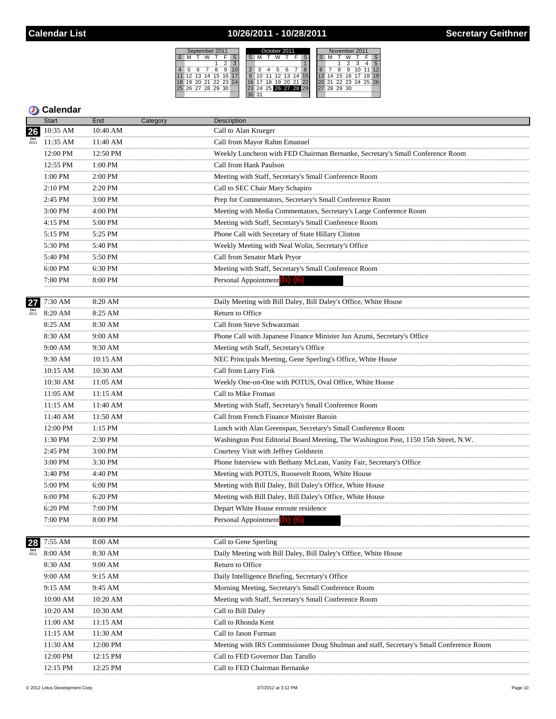## 10/26/2011 - 10/28/2011

| September 2011 |  |  |                |  |  |  |  |    | October 2011    |    |                      |  | November 2011 |    |    |          |                   |    |  |  |
|----------------|--|--|----------------|--|--|--|--|----|-----------------|----|----------------------|--|---------------|----|----|----------|-------------------|----|--|--|
|                |  |  |                |  |  |  |  |    |                 |    |                      |  |               |    |    |          |                   |    |  |  |
|                |  |  |                |  |  |  |  |    |                 |    |                      |  |               |    |    |          |                   |    |  |  |
|                |  |  |                |  |  |  |  |    |                 |    |                      |  |               |    |    |          |                   |    |  |  |
| 12             |  |  | 13 14 15 16    |  |  |  |  |    | 12 <sup>1</sup> | 13 | 14                   |  |               | 14 |    | 15 16 17 |                   | 18 |  |  |
| 19             |  |  | 20 21 22 23 24 |  |  |  |  | ïÄ | 19              |    | 20 21 22             |  |               |    |    |          | 21 22 23 24 25 26 |    |  |  |
|                |  |  | 26 27 28 29 30 |  |  |  |  |    |                 |    | 23 24 25 26 27 28 29 |  |               | 28 | 29 | 30       |                   |    |  |  |
|                |  |  |                |  |  |  |  |    |                 |    |                      |  |               |    |    |          |                   |    |  |  |

|                          | <b>Start</b>          | End          | Category | <b>Description</b>                                                                      |
|--------------------------|-----------------------|--------------|----------|-----------------------------------------------------------------------------------------|
| 26                       | 10:35 AM              | 10:40 AM     |          | Call to Alan Krueger                                                                    |
|                          | 11:35 AM              | 11:40 AM     |          | Call from Mayor Rahm Emanuel                                                            |
|                          | 12:00 PM              | 12:50 PM     |          | Weekly Luncheon with FED Chairman Bernanke, Secretary's Small Conference Room           |
|                          | 12:55 PM              | 1:00 PM      |          | Call from Hank Paulson                                                                  |
|                          | 1:00 PM               | 2:00 PM      |          | Meeting with Staff, Secretary's Small Conference Room                                   |
|                          | 2:10 PM<br>.          | 2:20 PM      |          | Call to SEC Chair Mary Schapiro                                                         |
|                          | $2:45$ PM             | .<br>3:00 PM |          | Prep for Commentators, Secretary's Small Conference Room                                |
|                          | 3:00 PM               | 4:00 PM      |          | Meeting with Media Commentators, Secretary's Large Conference Room                      |
|                          | .<br>4:15 PM          | 5:00 PM      |          | Meeting with Staff, Secretary's Small Conference Room                                   |
|                          | .<br>5:15 PM          | <br>5:25 PM  |          | Phone Call with Secretary of State Hillary Clinton                                      |
|                          | 5:30 PM               | 5:40 PM<br>. |          | Weekly Meeting with Neal Wolin, Secretary's Office                                      |
|                          | .<br>5:40 PM          | 5:50 PM      |          | Call from Senator Mark Pryor                                                            |
|                          | $6:00 \; \mathrm{PM}$ | 6:30 PM      |          | Meeting with Staff, Secretary's Small Conference Room                                   |
|                          | 7:00 PM               | 8:00 PM      |          | Personal Appointment (b) (6)                                                            |
|                          |                       |              |          |                                                                                         |
| 27                       | 7:30 AM               | 8:20 AM      |          | Daily Meeting with Bill Daley, Bill Daley's Office, White House                         |
| $\frac{Oct}{2011}$       | 8:20 AM               | 8:25 AM      |          | Return to Office                                                                        |
|                          | 8:25 AM<br>.          | 8:30 AM<br>. |          | Call from Steve Schwarzman                                                              |
|                          | 8:30 AM               | 9:00 AM      |          | Phone Call with Japanese Finance Minister Jun Azumi, Secretary's Office                 |
|                          | 9:00 AM<br>.          | 9:30 AM      |          | Meeting wtih Staff, Secretary's Office                                                  |
|                          | 9:30 AM               | $10:15$ AM   |          | NEC Principals Meeting, Gene Sperling's Office, White House                             |
|                          | 10:15 AM              | 10:30 AM     |          | Call from Larry Fink                                                                    |
|                          | 10:30 AM              | $11:05$ AM   |          | Weekly One-on-One with POTUS, Oval Office, White House                                  |
|                          | 11:05 AM              | 11:15 AM     |          | Call to Mike Froman                                                                     |
|                          | 11:15 AM              | 11:40 AM     |          | Meeting with Staff, Secretary's Small Conference Room                                   |
|                          | 11:40 AM              | 11:50 AM     |          | Call from French Finance Minister Baroin                                                |
|                          | 12:00 PM<br>.         | 1:15 PM      |          | Lunch with Alan Greenspan, Secretary's Small Conference Room                            |
|                          | 1:30 PM               | $2:30$ PM    |          | Washington Post Editorial Board Meeting, The Washington Post, 1150 15th Street, N.W.    |
|                          | 2:45 PM               | 3:00 PM      |          | Courtesy Visit with Jeffrey Goldstein                                                   |
|                          | 3:00 PM<br>.          | 3:30 PM      |          | Phone Interview with Bethany McLean, Vanity Fair, Secretary's Office                    |
|                          | 3:40 PM               | 4:40 PM      |          | Meeting with POTUS, Roosevelt Room, White House                                         |
|                          | 5:00 PM               | 6:00 PM      |          | Meeting with Bill Daley, Bill Daley's Office, White House                               |
|                          | 6:00 PM               | 6:20 PM      |          | Meeting with Bill Daley, Bill Daley's Office, White House                               |
|                          | 6:20 PM               | 7:00 PM      |          | Depart White House enroute residence                                                    |
|                          | 7:00 PM               | 8:00 PM      |          | Personal Appointment (b) (6)                                                            |
|                          | 7:55 AM               | 8:00 AM      |          | Call to Gene Sperling                                                                   |
| 28<br>$\frac{Oct}{2011}$ | 8:00 AM               | 8:30 AM      |          | Daily Meeting with Bill Daley, Bill Daley's Office, White House                         |
|                          | 8:30 AM               | 9:00 AM      |          | Return to Office                                                                        |
|                          | 9:00 AM               | 9:15 AM      |          | .<br>Daily Intelligence Briefing, Secretary's Office                                    |
|                          | 9:15 AM               | 9:45 AM      |          | Morning Meeting, Secretary's Small Conference Room                                      |
|                          | 10:00 AM              | 10:20 AM     |          | Meeting with Staff, Secretary's Small Conference Room                                   |
|                          | 10:20 AM              | 10:30 AM     |          | Call to Bill Daley                                                                      |
|                          | 11:00 AM              | 11:15 AM     |          | Call to Rhonda Kent                                                                     |
|                          | 11:15 AM              | 11:30 AM     |          | Call to Jason Furman                                                                    |
|                          | 11:30 AM              | 12:00 PM     |          | Meeting with IRS Commissioner Doug Shulman and staff, Secretary's Small Conference Room |
|                          | <br>12:00 PM          | 12:15 PM     |          | Call to FED Governor Dan Tarullo                                                        |
|                          | 12:15 PM              | 12:25 PM     |          | Call to FED Chairman Bernanke                                                           |